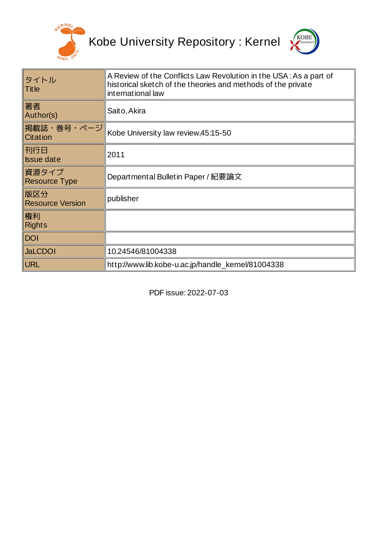



| タイトル<br>Title                  | A Review of the Conflicts Law Revolution in the USA: As a part of<br>historical sketch of the theories and methods of the private<br>international law |
|--------------------------------|--------------------------------------------------------------------------------------------------------------------------------------------------------|
| 著者<br>Author(s)                | Saito, Akira                                                                                                                                           |
| 掲載誌・巻号・ページ <br>Citation        | Kobe University law review, 45:15-50                                                                                                                   |
| 刊行日<br><b>Issue date</b>       | 2011                                                                                                                                                   |
| 資源タイプ<br><b>Resource Type</b>  | Departmental Bulletin Paper / 紀要論文                                                                                                                     |
| 版区分<br><b>Resource Version</b> | publisher                                                                                                                                              |
| 権利<br><b>Rights</b>            |                                                                                                                                                        |
| <b>DOI</b>                     |                                                                                                                                                        |
| <b>JaLCDOI</b>                 | 10.24546/81004338                                                                                                                                      |
| <b>URL</b>                     | http://www.lib.kobe-u.ac.jp/handle kernel/81004338                                                                                                     |

PDF issue: 2022-07-03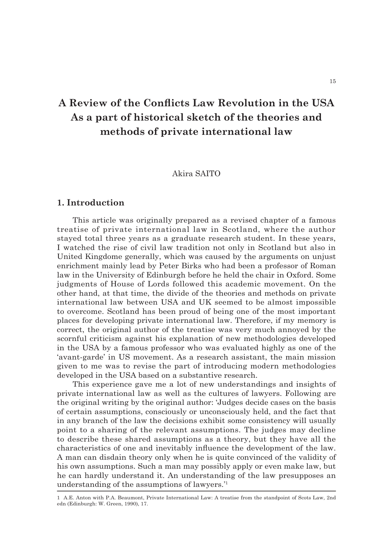# A Review of the Conflicts Law Revolution in the USA **As a part of historical sketch of the theories and methods of private international law**

# Akira SAITO

# **1. Introduction**

This article was originally prepared as a revised chapter of a famous treatise of private international law in Scotland, where the author stayed total three years as a graduate research student. In these years, I watched the rise of civil law tradition not only in Scotland but also in United Kingdome generally, which was caused by the arguments on unjust enrichment mainly lead by Peter Birks who had been a professor of Roman law in the University of Edinburgh before he held the chair in Oxford. Some judgments of House of Lords followed this academic movement. On the other hand, at that time, the divide of the theories and methods on private international law between USA and UK seemed to be almost impossible to overcome. Scotland has been proud of being one of the most important places for developing private international law. Therefore, if my memory is correct, the original author of the treatise was very much annoyed by the scornful criticism against his explanation of new methodologies developed in the USA by a famous professor who was evaluated highly as one of the 'avant-garde' in US movement. As a research assistant, the main mission given to me was to revise the part of introducing modern methodologies developed in the USA based on a substantive research.

This experience gave me a lot of new understandings and insights of private international law as well as the cultures of lawyers. Following are the original writing by the original author: 'Judges decide cases on the basis of certain assumptions, consciously or unconsciously held, and the fact that in any branch of the law the decisions exhibit some consistency will usually point to a sharing of the relevant assumptions. The judges may decline to describe these shared assumptions as a theory, but they have all the characteristics of one and inevitably influence the development of the law. A man can disdain theory only when he is quite convinced of the validity of his own assumptions. Such a man may possibly apply or even make law, but he can hardly understand it. An understanding of the law presupposes an understanding of the assumptions of lawyers.'1

<sup>1</sup> A.E. Anton with P.A. Beaumont, Private International Law: A treatise from the standpoint of Scots Law, 2nd edn (Edinburgh: W. Green, 1990), 17.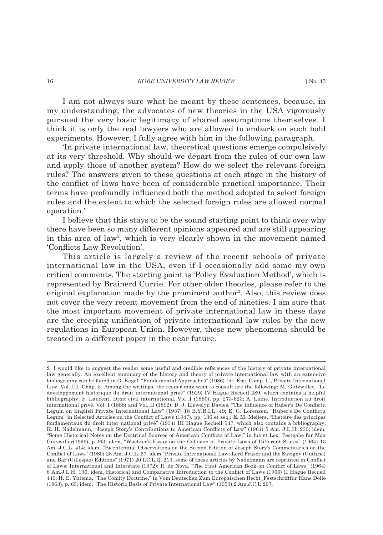I am not always sure what he meant by these sentences, because, in my understanding, the advocates of new theories in the USA vigorously pursued the very basic legitimacy of shared assumptions themselves. I think it is only the real lawyers who are allowed to embark on such bold experiments. However, I fully agree with him in the following paragraph.

'In private international law, theoretical questions emerge compulsively at its very threshold. Why should we depart from the rules of our own law and apply those of another system? How do we select the relevant foreign rules? The answers given to these questions at each stage in the history of the conflict of laws have been of considerable practical importance. Their terms have profoundly influenced both the method adopted to select foreign rules and the extent to which the selected foreign rules are allowed normal operation.'

I believe that this stays to be the sound starting point to think over why there have been so many different opinions appeared and are still appearing in this area of law2 , which is very clearly shown in the movement named 'Conflicts Law Revolution'.

This article is largely a review of the recent schools of private international law in the USA, even if I occasionally add some my own critical comments. The starting point is 'Policy Evaluation Method', which is represented by Brainerd Currie. For other older theories, please refer to the original explanation made by the prominent author<sup>3</sup>. Also, this review does not cover the very recent movement from the end of nineties. I am sure that the most important movement of private international law in these days are the creeping unification of private international law rules by the new regulations in European Union. However, these new phenomena should be treated in a different paper in the near future.

<sup>2</sup> I would like to suggest the reader some useful and credible references of the history of private international law generally. An excellent summary of the history and theory of private international law with an extensive bibliography can be found in G. Kegel, "Fundamental Approaches" (1986) Int. Enc. Comp. L., Private International Law, Vol. III, Chap. 3. Among the writings, the reader may wish to consult are the following: M. Gutzwiller, "Le developpement historique du droit international prive" (1929) IV Hague Recueil 289, which contains a helpful bibliography; F. Laurent, Droit civil international, Vol .I (1880), pp. 273-623; A. Laine, Introduction au droit international privé, Vol. I (1888) and Vol. II (1892); D. J. Llewelyn Davies, "The Influence of Huber's De Conflictu Legum on English Private International Law" (1937) 18 B.Y.B.I.L. 49; E. G. Lorenzen, "Huber's De Conflictu Legum" in Selected Articles on the Conflict of Laws (1947), pp. 136 et seq.; E. M. Meijers, "Histoire des principes fondamentaux du droit inter national privé" (1934) III Hague Recueil 547, which also contains a bibliography; K. H. Nadelmann, "Joseph Story's Contributions to American Conflicts of Law" (1961) 5 Am. J.L.H. 230; idem, "Some Historical Notes on the Doctrinal Sources of American Conflicts of Law," in lus et Lex: Festgabe fur Max Gutzwiller(1959), p.263; idem, "Wachter's Essay on the Collision of Private Laws of Different States" (1964) 13 Am. J.C.L. 414; idem, "Bicentennial Observations on the Second Edition of Joseph Story's Commentaries on the Conflict of Laws" (1980) 28 Am. J.C.L. 67, idem "Private International Law: Lord Fraser and the Savigny (Guthrie) and Bar (Gillespie) Editions" (1971) 20 I.C.L.Q. 213; some of these articles by Nadelmann are reprinted in Conflict of Laws: International and Interstate (1972); R. de Nova, "The First American Book on Conflict of Laws" (1964) 8 Am.J.L.H. 136; idem, Historical and Comparative Introduction to the Conflict of Laws (1966) II Hague Recueil 440; H. E. Yntema, "The Comity Doctrine," in Vom Deutschen Zum Europaischen Recht\_Festschriftfur Hans Dolle (1963), p. 65; idem, "The Historic Basis of Private International Law" (1953) 2 Am.J.C.L.297.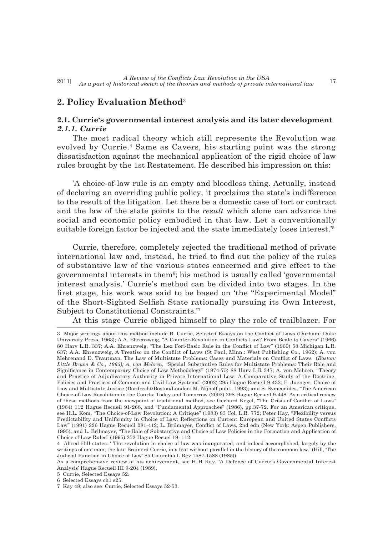# **2. Policy Evaluation Method**<sup>3</sup>

# **2.1. Currie's governmental interest analysis and its later development** *2.1.1. Currie*

The most radical theory which still represents the Revolution was evolved by Currie.<sup>4</sup> Same as Cavers, his starting point was the strong dissatisfaction against the mechanical application of the rigid choice of law rules brought by the 1st Restatement. He described his impression on this:

'A choice-of-law rule is an empty and bloodless thing. Actually, instead of declaring an overriding public policy, it proclaims the state's indifference to the result of the litigation. Let there be a domestic case of tort or contract and the law of the state points to the *result* which alone can advance the social and economic policy embodied in that law. Let a conventionally suitable foreign factor be injected and the state immediately loses interest.'5

Currie, therefore, completely rejected the traditional method of private international law and, instead, he tried to find out the policy of the rules of substantive law of the various states concerned and give effect to the governmental interests in them<sup>6</sup>; his method is usually called 'governmental interest analysis.' Currie's method can be divided into two stages. In the first stage, his work was said to be based on 'the "Experimental Model" of the Short-Sighted Selfish State rationally pursuing its Own Interest, Subject to Constitutional Constraints.'7

At this stage Currie obliged himself to play the role of trailblazer. For

<sup>3</sup> Major writings about this method include B. Currie, Selected Essays on the Conflict of Laws (Durham: Duke University Press, 1963); A.A. Ehrenzweig, "A Counter-Revolution in Conflicts Law? From Beale to Cavers" (1966) 80 Harv L.R. 337; A.A. Ehrenzweig, "The Lex Fori-Basic Rule in the Conflict of Law" (1960) 58 Michigan L.R. 637; A.A. Ehrenzweig, A Treatiso on the Conflict of Laws (St Paul, Minn.: West Publishing Co., 1962); A. von Mehrenand D. Trautman, The Law of Multistate Problems: Cases and Materials on Conflict of Laws (*Boston: Little Brown & Co., 1965); A. von Mehren*, "Special Substantive Rules for Multistate Problems: Their Role and Significance in Contemporary Choice of Law Methodology" (1974-75) 88 Harv L.R 347; A. von Mehren, "Theory and Practice of Adjudicatory Authority in Private International Law: A Comparative Study of the Doctrine, Policies and Practices of Common and Civil Law Systems" (2002) 295 Hague Recueil 9-432; F. Juenger, Choice of Law and Multistate Justice (Dordrecht/Boston/London: M. Nijhoff publ., 1993); and S. Symeonides, "The American Choice-of-Law Revolution in the Courts: Today and Tomorrow (2002) 298 Hague Recueil 9-448. As a critical review of these methods from the viewpoint of traditional method, see Gerhard Kegel, "The Crisis of Conflict of Laws" (1964) 112 Hague Recueil 91-268, and "Fundamental Approaches" (1986), pp.37-72. For an American critique, see H.L. Kom, "The Choice-of-Law Revolution: A Critique" (1983) 83 Col. L.R. 772; Peter Hay, "Flexibility versus Predictability and Uniformity in Choice of Law: Reflections on Current European and United States Conflicts Law" (1991) 226 Hague Recueil 281-412; L. Brilmayer, Conflict of Laws, 2nd edn (New York: Aspen Publishers, 1995); and L. Brilmayer, "The Role of Substantive and Choice of Law Policies in the Formation and Application of Choice of Law Rules" (1995) 252 Hague Recuei 19- 112.

<sup>4</sup> Alfred Hill states: ' The revolution in choice of law was inaugurated, and indeed accomplished, largely by the writings of one man, the late Brainerd Currie, in a feat without parallel in the history of the common law.' (Hill, 'The Judicial Function in Choice of Law' 85 Columbia L Rev 1587-1588 (1985))

As a comprehensive review of his achievement, see H H Kay, 'A Defence of Currie's Governmental Interest Analysis' Hague Recueil III 9-204 (1989).

<sup>5</sup> Currie, Selected Essays 52.

<sup>6</sup> Selected Essays ch1 s25.

<sup>7</sup> Kay 48; also see Currie, Selected Essays 52-53.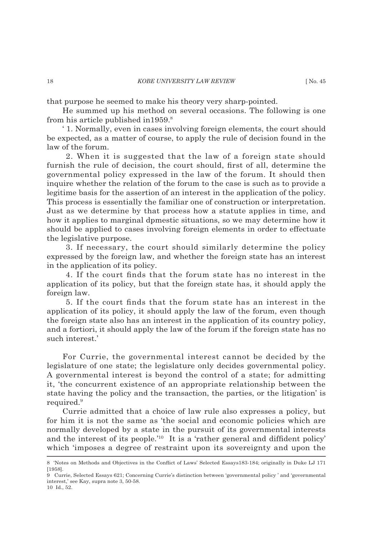that purpose he seemed to make his theory very sharp-pointed.

He summed up his method on several occasions. The following is one from his article published in  $1959$ .<sup>8</sup>

' 1. Normally, even in cases involving foreign elements, the court should be expected, as a matter of course, to apply the rule of decision found in the law of the forum.

 2. When it is suggested that the law of a foreign state should furnish the rule of decision, the court should, first of all, determine the governmental policy expressed in the law of the forum. It should then inquire whether the relation of the forum to the case is such as to provide a legitime basis for the assertion of an interest in the application of the policy. This process is essentially the familiar one of construction or interpretation. Just as we determine by that process how a statute applies in time, and how it applies to marginal dpmestic situations, so we may determine how it should be applied to cases involving foreign elements in order to effectuate the legislative purpose.

 3. If necessary, the court should similarly determine the policy expressed by the foreign law, and whether the foreign state has an interest in the application of its policy.

4. If the court finds that the forum state has no interest in the application of its policy, but that the foreign state has, it should apply the foreign law.

5. If the court finds that the forum state has an interest in the application of its policy, it should apply the law of the forum, even though the foreign state also has an interest in the application of its country policy, and a fortiori, it should apply the law of the forum if the foreign state has no such interest.'

For Currie, the governmental interest cannot be decided by the legislature of one state; the legislature only decides governmental policy. A governmental interest is beyond the control of a state; for admitting it, 'the concurrent existence of an appropriate relationship between the state having the policy and the transaction, the parties, or the litigation' is required.<sup>9</sup>

Currie admitted that a choice of law rule also expresses a policy, but for him it is not the same as 'the social and economic policies which are normally developed by a state in the pursuit of its governmental interests and the interest of its people.'<sup>10</sup> It is a 'rather general and diffident policy' which 'imposes a degree of restraint upon its sovereignty and upon the

<sup>8 &#</sup>x27;Notes on Methods and Objectives in the Conflict of Laws' Selected Essays183-184; originally in Duke LJ 171 [1958].

<sup>9</sup> Currie, Selected Essays 621; Concerning Currie's distinction between 'governmental policy ' and 'governmental interest,' see Kay, supra note 3, 50-58. 10 Id., 52.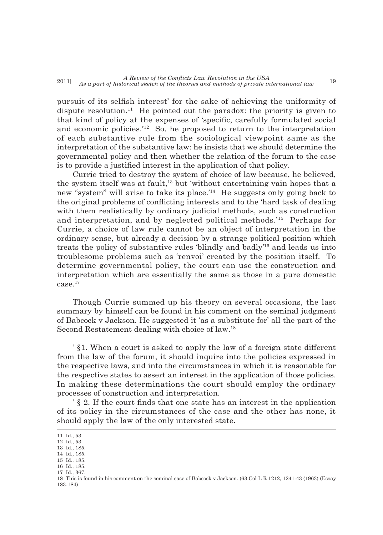pursuit of its selfish interest' for the sake of achieving the uniformity of dispute resolution.<sup>11</sup> He pointed out the paradox: the priority is given to that kind of policy at the expenses of 'specific, carefully formulated social and economic policies.'12 So, he proposed to return to the interpretation of each substantive rule from the sociological viewpoint same as the interpretation of the substantive law: he insists that we should determine the governmental policy and then whether the relation of the forum to the case is to provide a justified interest in the application of that policy.

Currie tried to destroy the system of choice of law because, he believed, the system itself was at fault,<sup>13</sup> but 'without entertaining vain hopes that a new "system" will arise to take its place.'14 He suggests only going back to the original problems of conflicting interests and to the 'hard task of dealing with them realistically by ordinary judicial methods, such as construction and interpretation, and by neglected political methods.'15 Perhaps for Currie, a choice of law rule cannot be an object of interpretation in the ordinary sense, but already a decision by a strange political position which treats the policy of substantive rules 'blindly and badly'16 and leads us into troublesome problems such as 'renvoi' created by the position itself. To determine governmental policy, the court can use the construction and interpretation which are essentially the same as those in a pure domestic  $case<sup>17</sup>$ 

Though Currie summed up his theory on several occasions, the last summary by himself can be found in his comment on the seminal judgment of Babcock v Jackson. He suggested it 'as a substitute for' all the part of the Second Restatement dealing with choice of law.18

' §1. When a court is asked to apply the law of a foreign state different from the law of the forum, it should inquire into the policies expressed in the respective laws, and into the circumstances in which it is reasonable for the respective states to assert an interest in the application of those policies. In making these determinations the court should employ the ordinary processes of construction and interpretation.

 $\frac{1}{2}$  S 2. If the court finds that one state has an interest in the application of its policy in the circumstances of the case and the other has none, it should apply the law of the only interested state.

17 Id., 367.

<sup>11</sup> Id., 53.

<sup>12</sup> Id., 53.

<sup>13</sup> Id., 185. 14 Id., 185.

<sup>15</sup> Id., 185.

<sup>16</sup> Id., 185.

<sup>18</sup> This is found in his comment on the seminal case of Babcock v Jackson. (63 Col L R 1212, 1241-43 (1963) (Essay 183-184)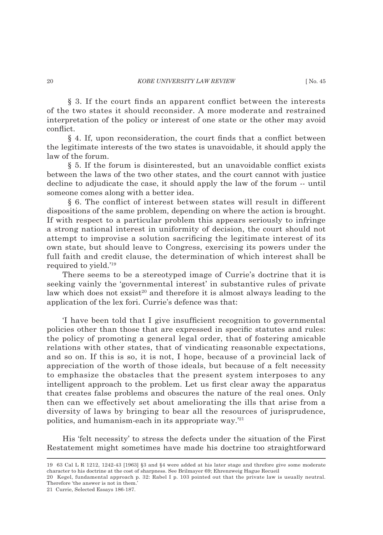$\S$  3. If the court finds an apparent conflict between the interests of the two states it should reconsider. A more moderate and restrained interpretation of the policy or interest of one state or the other may avoid conflict.

§ 4. If, upon reconsideration, the court finds that a conflict between the legitimate interests of the two states is unavoidable, it should apply the law of the forum.

 $§$  5. If the forum is disinterested, but an unavoidable conflict exists between the laws of the two other states, and the court cannot with justice decline to adjudicate the case, it should apply the law of the forum -- until someone comes along with a better idea.

§ 6. The conflict of interest between states will result in different dispositions of the same problem, depending on where the action is brought. If with respect to a particular problem this appears seriously to infringe a strong national interest in uniformity of decision, the court should not attempt to improvise a solution sacrificing the legitimate interest of its own state, but should leave to Congress, exercising its powers under the full faith and credit clause, the determination of which interest shall be required to yield.'19

There seems to be a stereotyped image of Currie's doctrine that it is seeking vainly the 'governmental interest' in substantive rules of private law which does not  $exsist^{20}$  and therefore it is almost always leading to the application of the lex fori. Currie's defence was that:

'I have been told that I give insufficient recognition to governmental policies other than those that are expressed in specifi c statutes and rules: the policy of promoting a general legal order, that of fostering amicable relations with other states, that of vindicating reasonable expectations, and so on. If this is so, it is not, I hope, because of a provincial lack of appreciation of the worth of those ideals, but because of a felt necessity to emphasize the obstacles that the present system interposes to any intelligent approach to the problem. Let us first clear away the apparatus that creates false problems and obscures the nature of the real ones. Only then can we effectively set about ameliorating the ills that arise from a diversity of laws by bringing to bear all the resources of jurisprudence, politics, and humanism-each in its appropriate way.'21

His 'felt necessity' to stress the defects under the situation of the First Restatement might sometimes have made his doctrine too straightforward

21 Currie, Selected Essays 186-187.

<sup>19 63</sup> Cal L R 1212, 1242-43 [1963] §3 and §4 were added at his later stage and threfore give some moderate character to his doctrine at the cost of sharpness. See Brilmayer 69; Ehrenzweig Hague Recueil

<sup>20</sup> Kegel, fundamental approach p. 32: Rabel I p. 103 pointed out that the private law is usually neutral. Therefore 'the answer is not in them.'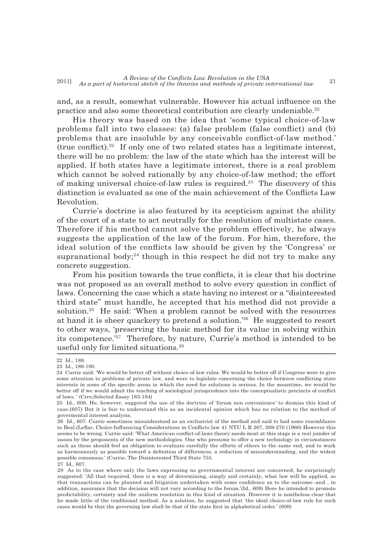and, as a result, somewhat vulnerable. However his actual influence on the practice and also some theoretical contribution are clearly undeniable.22

His theory was based on the idea that 'some typical choice-of-law problems fall into two classes: (a) false problem (false conflict) and (b) problems that are insoluble by any conceivable conflict-of-law method.' (true conflict).<sup>22</sup> If only one of two related states has a legitimate interest, there will be no problem: the law of the state which has the interest will be applied. If both states have a legitimate interest, there is a real problem which cannot be solved rationally by any choice-of-law method; the effort of making universal choice-of-law rules is required.<sup>23</sup> The discovery of this distinction is evaluated as one of the main achievement of the Conflicts Law Revolution.

Currie's doctrine is also featured by its scepticism against the ability of the court of a state to act neutrally for the resolution of multistate cases. Therefore if his method cannot solve the problem effectively, he always suggests the application of the law of the forum. For him, therefore, the ideal solution of the conflicts law should be given by the 'Congress' or supranational body; $24$  though in this respect he did not try to make any concrete suggestion.

From his position towards the true conflicts, it is clear that his doctrine was not proposed as an overall method to solve every question in conflict of laws. Concerning the case which a state having no interest or a "disinterested third state" must handle, he accepted that his method did not provide a solution.25 He said: 'When a problem cannot be solved with the resources at hand it is sheer quackery to pretend a solution.'26 He suggested to resort to other ways, 'preserving the basic method for its value in solving within its competence.'27 Therefore, by nature, Currie's method is intended to be useful only for limited situations.28

<sup>22</sup> Id., 189.

<sup>23</sup> Id., 189-190.

<sup>24</sup> Currie said: 'We would be better off without choice-of-law rules. We would be better off if Congress were to give some attention to problems of private law, and were to legislate concerning the choice between conflicting state interests in some of the specific areas in which the need for solutions is serious. In the meantime, we would be better off if we would admit the teaching of sociological jurisprudence into the conceptualistic precincts of conflict of laws. ' (Crre,Selected Essay 183-184)

<sup>25</sup> Id., 606. He, however, suggeted the use of the doctrine of 'forum non convenience' to dismiss this kind of case.(607) But it is fair to understand this as an incidental opinion which has no relation to the method of govermental interest analysis.

<sup>26</sup> Id., 607. Currie sometimes misunderstood as an exclusivist of the method and said to had some resemblance to Beal.(Leflar, Choice-Influencing Considerations in Conflicts law 41 NYU L R 267, 269-270 (1966) However this seems to be wrong. Currie said: 'What American conflict-of-laws theory needs most at this stage is a real joinder of issues by the proponents of the new methodologies. One who presume to offer a new technology in circumstances such as these should feel an obligation to evaluate carefully the efforts of others to the same end, and to work as harmoniously as possible toward a definition of differences, a reduction of misunderstanding, and the widest possible consensus.' (Currie, The Disinterested Third State 755. 27 Id., 607.

<sup>28</sup> As to the case where only the laws expressing no governmental interest are concerned, he surprisingly suggested: 'All that required, then is a way of determining, simply and certainly, what law will be applied, so that transactions can be planned and litigation undertaken with some confidence as to the outcome--and, in addition, assurance that the decision will not vary according to the forum.'(Id., 609) Here he intended to promote predictability, certainty and the uniform resolution in this kind of situation. However it is nontheless clear that he made little of the traditional method. As a solution, he suggested that 'the ideal choice-of-law rule for such cases would be that the governing law shall be that of the state first in alphabetical order.' (609)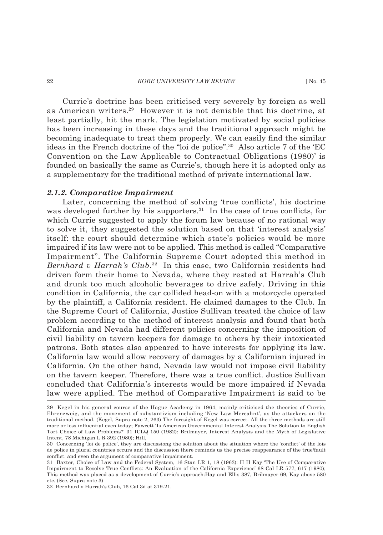Currie's doctrine has been criticised very severely by foreign as well as American writers.29 However it is not deniable that his doctrine, at least partially, hit the mark. The legislation motivated by social policies has been increasing in these days and the traditional approach might be becoming inadequate to treat them properly. We can easily find the similar ideas in the French doctrine of the "loi de police".30 Also article 7 of the 'EC Convention on the Law Applicable to Contractual Obligations (1980)' is founded on basically the same as Currie's, though here it is adopted only as a supplementary for the traditional method of private international law.

#### *2.1.2. Comparative Impairment*

Later, concerning the method of solving 'true conflicts', his doctrine was developed further by his supporters.<sup>31</sup> In the case of true conflicts, for which Currie suggested to apply the forum law because of no rational way to solve it, they suggested the solution based on that 'interest analysis' itself: the court should determine which state's policies would be more impaired if its law were not to be applied. This method is called "Comparative Impairment". The California Supreme Court adopted this method in *Bernhard v Harrah's Club*. 32 In this case, two California residents had driven form their home to Nevada, where they rested at Harrah's Club and drunk too much alcoholic beverages to drive safely. Driving in this condition in California, the car collided head-on with a motorcycle operated by the plaintiff, a California resident. He claimed damages to the Club. In the Supreme Court of California, Justice Sullivan treated the choice of law problem according to the method of interest analysis and found that both California and Nevada had different policies concerning the imposition of civil liability on tavern keepers for damage to others by their intoxicated patrons. Both states also appeared to have interests for applying its law. California law would allow recovery of damages by a Californian injured in California. On the other hand, Nevada law would not impose civil liability on the tavern keeper. Therefore, there was a true conflict. Justice Sullivan concluded that California's interests would be more impaired if Nevada law were applied. The method of Comparative Impairment is said to be

<sup>29</sup> Kegel in his general course of the Hague Academy in 1964, mainly criticised the theories of Currie, Ehrenzweig, and the movement of substantivism including 'New Law Mercahnt', as the attackers on the traditional method. (Kegel, Supra note 2, 263) The foresight of Kegel was correct. All the three methods are still more or less influential even today; Fawcett 'Is American Governmental Interest Analysis The Solution to English Tort Choice of Law Problems?' 31 ICLQ 150 (1982): Brilmayer, Interest Analysis and the Myth of Legislative Intent, 78 Michigan L R 392 (1980); Hill,

<sup>30</sup> Concerning 'loi de police', they are discussiong the solution about the situation where the 'conflict' of the lois de police in plural countries occurs and the discussion there reminds us the precise reappearance of the true/fault conflict. and even the argument of comparative impairment.

<sup>31</sup> Baxter, Choice of Law and the Federal System, 16 Stan LR 1, 18 (1963): H H Kay 'The Use of Comparative Impairment to Resolve True Conflicts: An Evaluation of the California Experience' 68 Cal LR 577, 617 (1980); This method was placed as a development of Currie's approach:Hay and Ellis 387, Brilmayer 69, Kay above 580 etc. (See, Supra note 3)

<sup>32</sup> Bernhard v Harrah's Club, 16 Cal 3d at 319-21.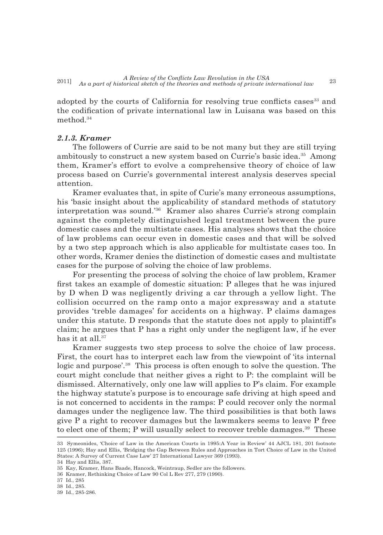adopted by the courts of California for resolving true conflicts cases<sup>33</sup> and the codification of private international law in Luisana was based on this method.34

### *2.1.3. Kramer*

The followers of Currie are said to be not many but they are still trying ambitously to construct a new system based on Currie's basic idea.35 Among them, Kramer's effort to evolve a comprehensive theory of choice of law process based on Currie's governmental interest analysis deserves special attention.

Kramer evaluates that, in spite of Curie's many erroneous assumptions, his 'basic insight about the applicability of standard methods of statutory interpretation was sound.'36 Kramer also shares Currie's strong complain against the completely distinguished legal treatment between the pure domestic cases and the multistate cases. His analyses shows that the choice of law problems can occur even in domestic cases and that will be solved by a two step approach which is also applicable for multistate cases too. In other words, Kramer denies the distinction of domestic cases and multistate cases for the purpose of solving the choice of law problems.

For presenting the process of solving the choice of law problem, Kramer first takes an example of domestic situation: P alleges that he was injured by D when D was negligently driving a car through a yellow light. The collision occurred on the ramp onto a major expressway and a statute provides 'treble damages' for accidents on a highway. P claims damages under this statute. D responds that the statute does not apply to plaintiff's claim; he argues that P has a right only under the negligent law, if he ever has it at all.<sup>37</sup>

Kramer suggests two step process to solve the choice of law process. First, the court has to interpret each law from the viewpoint of 'its internal logic and purpose'.<sup>38</sup> This process is often enough to solve the question. The court might conclude that neither gives a right to P: the complaint will be dismissed. Alternatively, only one law will applies to P's claim. For example the highway statute's purpose is to encourage safe driving at high speed and is not concerned to accidents in the ramps: P could recover only the normal damages under the negligence law. The third possibilities is that both laws give P a right to recover damages but the lawmakers seems to leave P free to elect one of them; P will usually select to recover treble damages.<sup>39</sup> These

<sup>33</sup> Symeonides, 'Choice of Law in the American Courts in 1995:A Year in Review' 44 AJCL 181, 201 footnote 125 (1996); Hay and Ellis, 'Bridging the Gap Between Rules and Approaches in Tort Choice of Law in the United States: A Survey of Current Case Law' 27 International Lawyer 369 (1993).

<sup>34</sup> Hay and Ellis, 387.

<sup>35</sup> Kay, Kramer, Hans Baade, Hancock, Weintraup, Sedler are the followers.

<sup>36</sup> Kramer, Rethinking Choice of Law 90 Col L Rev 277, 279 (1990).

<sup>37</sup> Id., 285

<sup>38</sup> Id., 285.

<sup>39</sup> Id., 285-286.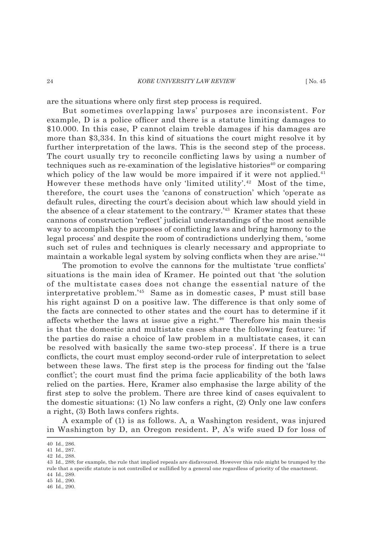are the situations where only first step process is required.

But sometimes overlapping laws' purposes are inconsistent. For example,  $D$  is a police officer and there is a statute limiting damages to \$10.000. In this case, P cannot claim treble damages if his damages are more than \$3,334. In this kind of situations the court might resolve it by further interpretation of the laws. This is the second step of the process. The court usually try to reconcile conflicting laws by using a number of techniques such as re-examination of the legislative histories $40$  or comparing which policy of the law would be more impaired if it were not applied.<sup>41</sup> However these methods have only 'limited utility'.<sup>42</sup> Most of the time, therefore, the court uses the 'canons of construction' which 'operate as default rules, directing the court's decision about which law should yield in the absence of a clear statement to the contrary.<sup>'43</sup> Kramer states that these cannons of construction 'reflect' judicial understandings of the most sensible way to accomplish the purposes of conflicting laws and bring harmony to the legal process' and despite the room of contradictions underlying them, 'some such set of rules and techniques is clearly necessary and appropriate to maintain a workable legal system by solving conflicts when they are arise.<sup>'44</sup>

The promotion to evolve the cannons for the multistate 'true conflicts' situations is the main idea of Kramer. He pointed out that 'the solution of the multistate cases does not change the essential nature of the interpretative problem.'45 Same as in domestic cases, P must still base his right against D on a positive law. The difference is that only some of the facts are connected to other states and the court has to determine if it affects whether the laws at issue give a right.46 Therefore his main thesis is that the domestic and multistate cases share the following feature: 'if the parties do raise a choice of law problem in a multistate cases, it can be resolved with basically the same two-step process'. If there is a true conflicts, the court must employ second-order rule of interpretation to select between these laws. The first step is the process for finding out the 'false conflict'; the court must find the prima facie applicability of the both laws relied on the parties. Here, Kramer also emphasise the large ability of the first step to solve the problem. There are three kind of cases equivalent to the domestic situations: (1) No law confers a right, (2) Only one law confers a right, (3) Both laws confers rights.

A example of (1) is as follows. A, a Washington resident, was injured in Washington by D, an Oregon resident. P, A's wife sued D for loss of

45 Id., 290.

<sup>40</sup> Id., 286.

<sup>41</sup> Id., 287.

<sup>42</sup> Id., 288.

<sup>43</sup> Id., 288; for example, the rule that implied repeals are disfavoured. However this rule might be trumped by the rule that a specific statute is not controlled or nullified by a general one regardless of priority of the enactment. 44 Id., 289.

<sup>46</sup> Id., 290.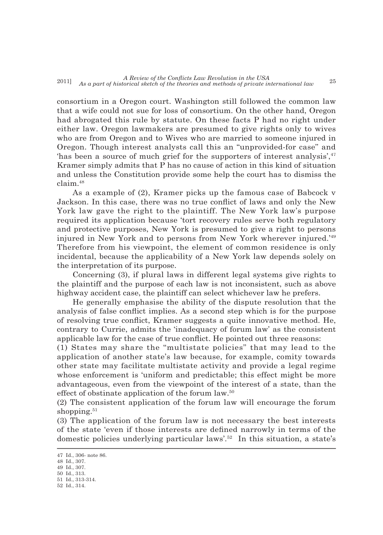consortium in a Oregon court. Washington still followed the common law that a wife could not sue for loss of consortium. On the other hand, Oregon had abrogated this rule by statute. On these facts P had no right under either law. Oregon lawmakers are presumed to give rights only to wives who are from Oregon and to Wives who are married to someone injured in Oregon. Though interest analysts call this an "unprovided-for case" and 'has been a source of much grief for the supporters of interest analysis',47 Kramer simply admits that P has no cause of action in this kind of situation and unless the Constitution provide some help the court has to dismiss the claim<sup>48</sup>

As a example of (2), Kramer picks up the famous case of Babcock v Jackson. In this case, there was no true conflict of laws and only the New York law gave the right to the plaintiff. The New York law's purpose required its application because 'tort recovery rules serve both regulatory and protective purposes, New York is presumed to give a right to persons injured in New York and to persons from New York wherever injured.'49 Therefore from his viewpoint, the element of common residence is only incidental, because the applicability of a New York law depends solely on the interpretation of its purpose.

Concerning (3), if plural laws in different legal systems give rights to the plaintiff and the purpose of each law is not inconsistent, such as above highway accident case, the plaintiff can select whichever law he prefers.

He generally emphasise the ability of the dispute resolution that the analysis of false conflict implies. As a second step which is for the purpose of resolving true conflict, Kramer suggests a quite innovative method. He, contrary to Currie, admits the 'inadequacy of forum law' as the consistent applicable law for the case of true conflict. He pointed out three reasons:

(1) States may share the "multistate policies" that may lead to the application of another state's law because, for example, comity towards other state may facilitate multistate activity and provide a legal regime whose enforcement is 'uniform and predictable; this effect might be more advantageous, even from the viewpoint of the interest of a state, than the effect of obstinate application of the forum law.50

(2) The consistent application of the forum law will encourage the forum shopping. $51$ 

(3) The application of the forum law is not necessary the best interests of the state 'even if those interests are defined narrowly in terms of the domestic policies underlying particular laws'.52 In this situation, a state's

50 Id., 313.

<sup>47</sup> Id., 306- note 86.

<sup>48</sup> Id., 307. 49 Id., 307.

<sup>51</sup> Id., 313-314.

<sup>52</sup> Id., 314.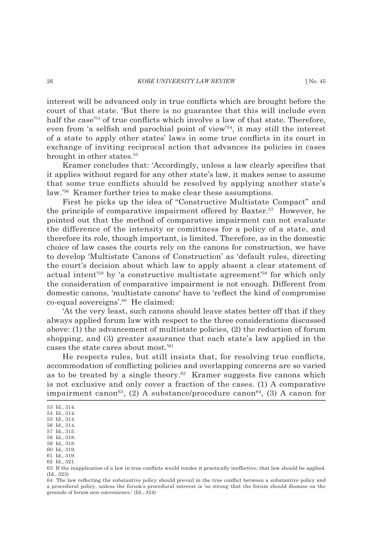interest will be advanced only in true conflicts which are brought before the court of that state. 'But there is no guarantee that this will include even half the case<sup>'53</sup> of true conflicts which involve a law of that state. Therefore, even from 'a selfish and parochial point of view'<sup>54</sup>, it may still the interest of a state to apply other states' laws in some true conflicts in its court in exchange of inviting reciprocal action that advances its policies in cases brought in other states.55

Kramer concludes that: 'Accordingly, unless a law clearly specifies that it applies without regard for any other state's law, it makes sense to assume that some true conflicts should be resolved by applying another state's law.'56 Kramer further tries to make clear these assumptions.

First he picks up the idea of "Constructive Multistate Compact" and the principle of comparative impairment offered by Baxter.<sup>57</sup> However, he pointed out that the method of comparative impairment can not evaluate the difference of the intensity or comittness for a policy of a state, and therefore its role, though important, is limited. Therefore, as in the domestic choice of law cases the courts rely on the canons for construction, we have to develop 'Multistate Canons of Construction' as 'default rules, directing the court's decision about which law to apply absent a clear statement of actual intent'58 by 'a constructive multistate agreement'59 for which only the consideration of comparative impairment is not enough. Different from domestic canons, 'multistate canons' have to 'reflect the kind of compromise co-equal sovereigns'.60 He claimed:

'At the very least, such canons should leave states better off that if they always applied forum law with respect to the three considerations discussed above: (1) the advancement of multistate policies, (2) the reduction of forum shopping, and (3) greater assurance that each state's law applied in the cases the state cares about most.'61

He respects rules, but still insists that, for resolving true conflicts, accommodation of conflicting policies and overlapping concerns are so varied as to be treated by a single theory.<sup>62</sup> Kramer suggests five canons which is not exclusive and only cover a fraction of the cases. (1) A comparative impairment canon<sup>63</sup>, (2) A substance/procedure canon<sup>64</sup>, (3) A canon for

<sup>53</sup> Id., 314.

<sup>54</sup> Id., 314.

<sup>55</sup> Id., 314.

<sup>56</sup> Id., 314.

<sup>57</sup> Id., 315. 58 Id., 318.

<sup>59</sup> Id., 318.

<sup>60</sup> Id., 319.

<sup>61</sup> Id., 319.

<sup>62</sup> Id., 321.

<sup>63</sup> If the inapplication of a law in true conflicts would render it practically ineffective, that law should be applied. (Id., 323)

<sup>64</sup> The law reflecting the substantive policy should prevail in the true conflict between a substantive policy and a procedural policy, unless the forum's procedural interest is 'so strong that the forum should dismiss on the grounds of forum non convenience.' (Id., 324)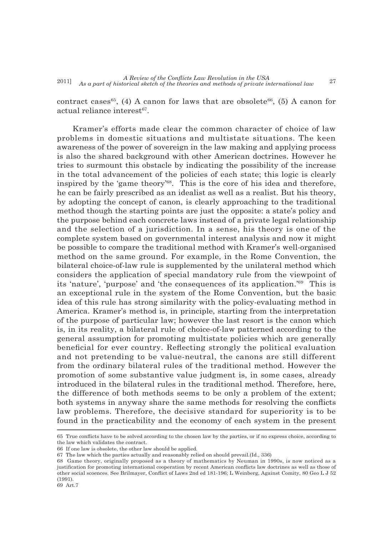contract cases<sup>65</sup>, (4) A canon for laws that are obsolete<sup>66</sup>, (5) A canon for actual reliance interest $67$ .

Kramer's efforts made clear the common character of choice of law problems in domestic situations and multistate situations. The keen awareness of the power of sovereign in the law making and applying process is also the shared background with other American doctrines. However he tries to surmount this obstacle by indicating the possibility of the increase in the total advancement of the policies of each state; this logic is clearly inspired by the 'game theory'68. This is the core of his idea and therefore, he can be fairly prescribed as an idealist as well as a realist. But his theory, by adopting the concept of canon, is clearly approaching to the traditional method though the starting points are just the opposite: a state's policy and the purpose behind each concrete laws instead of a private legal relationship and the selection of a jurisdiction. In a sense, his theory is one of the complete system based on governmental interest analysis and now it might be possible to compare the traditional method with Kramer's well-organised method on the same ground. For example, in the Rome Convention, the bilateral choice-of-law rule is supplemented by the unilateral method which considers the application of special mandatory rule from the viewpoint of its 'nature', 'purpose' and 'the consequences of its application.'69 This is an exceptional rule in the system of the Rome Convention, but the basic idea of this rule has strong similarity with the policy-evaluating method in America. Kramer's method is, in principle, starting from the interpretation of the purpose of particular law; however the last resort is the canon which is, in its reality, a bilateral rule of choice-of-law patterned according to the general assumption for promoting multistate policies which are generally beneficial for ever country. Reflecting strongly the political evaluation and not pretending to be value-neutral, the canons are still different from the ordinary bilateral rules of the traditional method. However the promotion of some substantive value judgment is, in some cases, already introduced in the bilateral rules in the traditional method. Therefore, here, the difference of both methods seems to be only a problem of the extent; both systems in anyway share the same methods for resolving the conflicts law problems. Therefore, the decisive standard for superiority is to be found in the practicability and the economy of each system in the present

<sup>65</sup> True conflicts have to be solved according to the chosen law by the parties, or if no express choice, according to the law which validates the contract.

<sup>66</sup> If one law is obsolete, the other law should be applied.

<sup>67</sup> The law which the parties actually and reasonably relied on should prevail.(Id., 336)

<sup>68</sup> Game theory, originally proposed as a theory of mathematics by Neuman in 1990s, is now noticed as a justification for promoting international cooperation by recent American conflicts law doctrines as well as those of other social scoences. See Brilmayer, Conflict of Laws 2nd ed 181-196; L Weinberg, Against Comity, 80 Geo L J 52 (1991).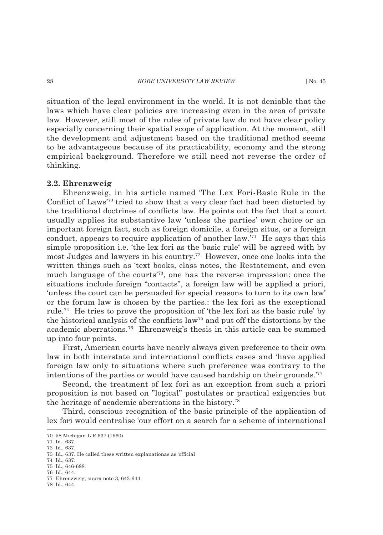### 28 **KOBE UNIVERSITY LAW REVIEW** [ No. 45

situation of the legal environment in the world. It is not deniable that the laws which have clear policies are increasing even in the area of private law. However, still most of the rules of private law do not have clear policy especially concerning their spatial scope of application. At the moment, still the development and adjustment based on the traditional method seems to be advantageous because of its practicability, economy and the strong empirical background. Therefore we still need not reverse the order of thinking.

### **2.2. Ehrenzweig**

Ehrenzweig, in his article named 'The Lex Fori-Basic Rule in the Conflict of Laws'<sup>70</sup> tried to show that a very clear fact had been distorted by the traditional doctrines of conflicts law. He points out the fact that a court usually applies its substantive law 'unless the parties' own choice or an important foreign fact, such as foreign domicile, a foreign situs, or a foreign conduct, appears to require application of another law.'71 He says that this simple proposition i.e. 'the lex fori as the basic rule' will be agreed with by most Judges and lawyers in his country.72 However, once one looks into the written things such as 'text books, class notes, the Restatement, and even much language of the courts'73, one has the reverse impression: once the situations include foreign "contacts", a foreign law will be applied a priori, 'unless the court can be persuaded for special reasons to turn to its own law' or the forum law is chosen by the parties.: the lex fori as the exceptional rule.74 He tries to prove the proposition of 'the lex fori as the basic rule' by the historical analysis of the conflicts law<sup>75</sup> and put off the distortions by the academic aberrations.76 Ehrenzweig's thesis in this article can be summed up into four points.

First, American courts have nearly always given preference to their own law in both interstate and international conflicts cases and 'have applied foreign law only to situations where such preference was contrary to the intentions of the parties or would have caused hardship on their grounds.'77

Second, the treatment of lex fori as an exception from such a priori proposition is not based on "logical" postulates or practical exigencies but the heritage of academic aberrations in the history.78

Third, conscious recognition of the basic principle of the application of lex fori would centralise 'our effort on a search for a scheme of international

<sup>70 58</sup> Michigan L R 637 (1960)

<sup>71</sup> Id., 637. 72 Id., 637.

<sup>73</sup> Id., 637. He called these written explanationas as 'official

<sup>74</sup> Id., 637.

<sup>75</sup> Id., 646-688.

<sup>76</sup> Id., 644.

<sup>77</sup> Ehrenzweig, supra note 3, 643-644.

<sup>78</sup> Id., 644.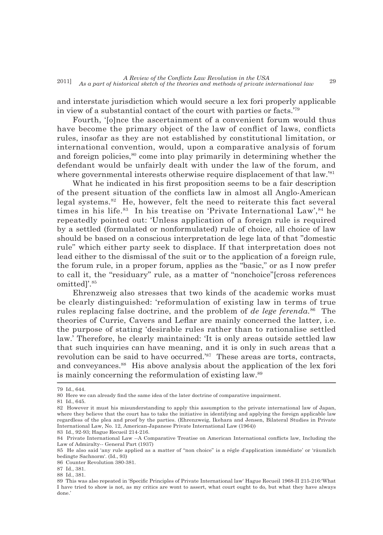and interstate jurisdiction which would secure a lex fori properly applicable in view of a substantial contact of the court with parties or facts.'79

Fourth, '[o]nce the ascertainment of a convenient forum would thus have become the primary object of the law of conflict of laws, conflicts rules, insofar as they are not established by constitutional limitation, or international convention, would, upon a comparative analysis of forum and foreign policies,<sup>80</sup> come into play primarily in determining whether the defendant would be unfairly dealt with under the law of the forum, and where governmental interests otherwise require displacement of that  $law.^{81}$ 

What he indicated in his first proposition seems to be a fair description of the present situation of the conflicts law in almost all Anglo-American legal systems. $82$  He, however, felt the need to reiterate this fact several times in his life. $83$  In his treatise on 'Private International Law',  $84$  he repeatedly pointed out: 'Unless application of a foreign rule is required by a settled (formulated or nonformulated) rule of choice, all choice of law should be based on a conscious interpretation de lege lata of that "domestic rule" which either party seek to displace. If that interpretation does not lead either to the dismissal of the suit or to the application of a foreign rule, the forum rule, in a proper forum, applies as the "basic," or as I now prefer to call it, the "residuary" rule, as a matter of "nonchoice"[cross references omitted]'.85

Ehrenzweig also stresses that two kinds of the academic works must be clearly distinguished: 'reformulation of existing law in terms of true rules replacing false doctrine, and the problem of *de lege ferenda.*86 The theories of Currie, Cavers and Leflar are mainly concerned the latter, *i.e.* the purpose of stating 'desirable rules rather than to rationalise settled law.' Therefore, he clearly maintained: 'It is only areas outside settled law that such inquiries can have meaning, and it is only in such areas that a revolution can be said to have occurred.<sup>'87</sup> These areas are torts, contracts, and conveyances.88 His above analysis about the application of the lex fori is mainly concerning the reformulation of existing law.89

<sup>79</sup> Id., 644.

<sup>80</sup> Here we can already find the same idea of the later doctrine of comparative impairment.

<sup>81</sup> Id., 645.

<sup>82</sup> However it must his misunderstanding to apply this assumption to the private international law of Japan, where they believe that the court has to take the initiative in identifying and applying the foreign applicable law regardless of the plea and proof by the parties. (Ehrenzweig, Ikehara and Jensen, Bilateral Studies in Private International Law, No. 12, American-Japanese Private International Law (1964)) 83 Id., 92-93; Hague Recueil 214-216.

<sup>84</sup> Private International Law --A Comparative Treatise on American International conflicts law, Including the Law of Admiralty-- General Part (1937)

<sup>85</sup> He also said 'any rule applied as a matter of "non choice" is a régle d'application immédiate' or 'räumlich bedingte Sachnorm'. (Id., 93)

<sup>86</sup> Counter Revolution 380-381.

<sup>87</sup> Id., 381.

<sup>88</sup> Id., 381.

<sup>89</sup> This was also repeated in 'Specific Principles of Private International law' Hague Recueil 1968-II 215-216: What I have tried to show is not, as my critics are wont to assert, what court ought to do, but what they have always done.'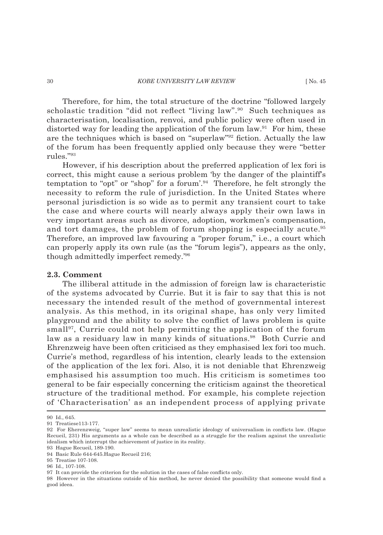Therefore, for him, the total structure of the doctrine "followed largely scholastic tradition "did not reflect "living law".<sup>90</sup> Such techniques as characterisation, localisation, renvoi, and public policy were often used in distorted way for leading the application of the forum law. $91$  For him, these are the techniques which is based on "superlaw"<sup>92</sup> fiction. Actually the law of the forum has been frequently applied only because they were "better rules."93

However, if his description about the preferred application of lex fori is correct, this might cause a serious problem 'by the danger of the plaintiff's temptation to "opt" or "shop" for a forum'.94 Therefore, he felt strongly the necessity to reform the rule of jurisdiction. In the United States where personal jurisdiction is so wide as to permit any transient court to take the case and where courts will nearly always apply their own laws in very important areas such as divorce, adoption, workmen's compensation, and tort damages, the problem of forum shopping is especially acute.<sup>95</sup> Therefore, an improved law favouring a "proper forum," i.e., a court which can properly apply its own rule (as the "forum legis"), appears as the only, though admittedly imperfect remedy.'96

### **2.3. Comment**

The illiberal attitude in the admission of foreign law is characteristic of the systems advocated by Currie. But it is fair to say that this is not necessary the intended result of the method of governmental interest analysis. As this method, in its original shape, has only very limited playground and the ability to solve the conflict of laws problem is quite small<sup>97</sup>, Currie could not help permitting the application of the forum law as a residuary law in many kinds of situations.<sup>98</sup> Both Currie and Ehrenzweig have been often criticised as they emphasised lex fori too much. Currie's method, regardless of his intention, clearly leads to the extension of the application of the lex fori. Also, it is not deniable that Ehrenzweig emphasised his assumption too much. His criticism is sometimes too general to be fair especially concerning the criticism against the theoretical structure of the traditional method. For example, his complete rejection of 'Characterisation' as an independent process of applying private

<sup>90</sup> Id., 645.

<sup>91</sup> Treatiese113-177.

<sup>92</sup> For Eherenzweig, "super law" seems to mean unrealistic ideology of universalism in conflicts law. (Hague Recueil, 231) His arguments as a whole can be described as a struggle for the realism against the unrealistic idealism which interrupt the achievement of justice in its reality.

<sup>93</sup> Hague Recueil, 189-190.

<sup>94</sup> Basic Rule 644-645.Hague Recueil 216;

<sup>95</sup> Treatise 107-108.

<sup>96</sup> Id., 107-108.

<sup>97</sup> It can provide the criterion for the solution in the cases of false conflicts only.

<sup>98</sup> However in the situations outside of his method, he never denied the possibility that someone would find a good ideea.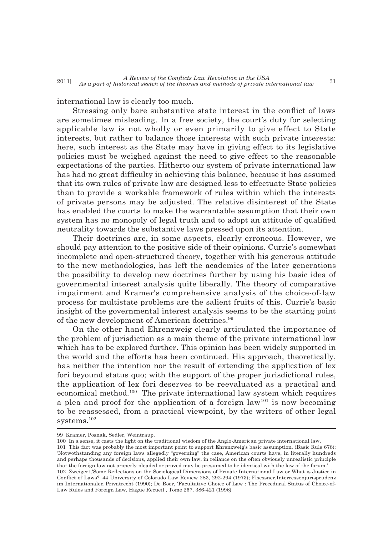international law is clearly too much.

Stressing only bare substantive state interest in the conflict of laws are sometimes misleading. In a free society, the court's duty for selecting applicable law is not wholly or even primarily to give effect to State interests, but rather to balance those interests with such private interests: here, such interest as the State may have in giving effect to its legislative policies must be weighed against the need to give effect to the reasonable expectations of the parties. Hitherto our system of private international law has had no great difficulty in achieving this balance, because it has assumed that its own rules of private law are designed less to effectuate State policies than to provide a workable framework of rules within which the interests of private persons may be adjusted. The relative disinterest of the State has enabled the courts to make the warrantable assumption that their own system has no monopoly of legal truth and to adopt an attitude of qualified neutrality towards the substantive laws pressed upon its attention.

Their doctrines are, in some aspects, clearly erroneous. However, we should pay attention to the positive side of their opinions. Currie's somewhat incomplete and open-structured theory, together with his generous attitude to the new methodologies, has left the academics of the later generations the possibility to develop new doctrines further by using his basic idea of governmental interest analysis quite liberally. The theory of comparative impairment and Kramer's comprehensive analysis of the choice-of-law process for multistate problems are the salient fruits of this. Currie's basic insight of the governmental interest analysis seems to be the starting point of the new development of American doctrines.<sup>99</sup>

On the other hand Ehrenzweig clearly articulated the importance of the problem of jurisdiction as a main theme of the private international law which has to be explored further. This opinion has been widely supported in the world and the efforts has been continued. His approach, theoretically, has neither the intention nor the result of extending the application of lex fori beyound status quo; with the support of the proper jurisdictional rules, the application of lex fori deserves to be reevaluated as a practical and economical method.100 The private international law system which requires a plea and proof for the application of a foreign  $law^{101}$  is now becoming to be reassessed, from a practical viewpoint, by the writers of other legal  $\rm systems.^{102}$ 

99 Kramer, Posnak, Sedler, Weintraup.

100 In a sense, it casts the light on the traditional wisdom of the Anglo-American private international law.

<sup>101</sup> This fact was probably the most important point to support Ehrenzweig's basic assumption. (Basic Rule 678): 'Notwothstanding any foreign laws allegedly "governing" the case, American courts have, in literally hundreds and perhaps thousands of decisions, applied their own law, in reliance on the often obviously unrealistic principle that the foreign law not properly pleaded or proved may be presumed to be identical with the law of the forum.' 102 Zweigert, 'Some Reflections on the Sociological Dimensions of Private International Law or What is Justice in Conflict of Laws?' 44 University of Colorado Law Review 283, 292-294 (1973); Flsessner,Interressenjurisprudenz

im Internationalen Privatrecht (1990); De Boer, 'Facultative Choice of Law : The Procedural Status of Choice-of-Law Rules and Foreign Law, Hague Recueil , Tome 257, 386-421 (1996)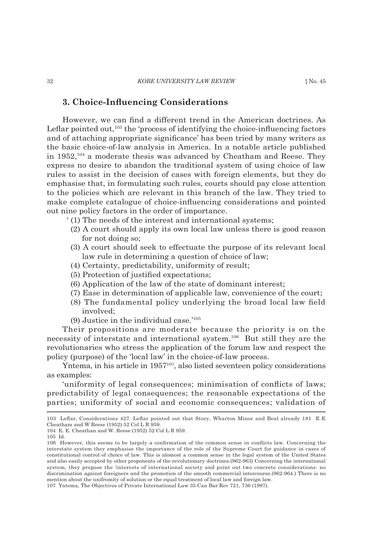### **3. Choice-Infl uencing Considerations**

However, we can find a different trend in the American doctrines. As Leflar pointed out, $103$  the 'process of identifying the choice-influencing factors and of attaching appropriate significance' has been tried by many writers as the basic choice-of-law analysis in America. In a notable article published in  $1952$ ,<sup>104</sup> a moderate thesis was advanced by Cheatham and Reese. They express no desire to abandon the traditional system of using choice of law rules to assist in the decision of cases with foreign elements, but they do emphasise that, in formulating such rules, courts should pay close attention to the policies which are relevant in this branch of the law. They tried to make complete catalogue of choice-influencing considerations and pointed out nine policy factors in the order of importance.

- ' (1) The needs of the interest and international systems;
- (2) A court should apply its own local law unless there is good reason for not doing so;
- (3) A court should seek to effectuate the purpose of its relevant local law rule in determining a question of choice of law;
- (4) Certainty, predictability, uniformity of result;
- (5) Protection of justified expectations;
- (6) Application of the law of the state of dominant interest;
- (7) Ease in determination of applicable law, convenience of the court;
- (8) The fundamental policy underlying the broad local law field involved;
- (9) Justice in the individual case.'105

Their propositions are moderate because the priority is on the necessity of interstate and international system.106 But still they are the revolutionaries who stress the application of the forum law and respect the policy (purpose) of the 'local law' in the choice-of-law process.

Yntema, in his article in 1957<sup>107</sup>, also listed seventeen policy considerations as examples:

'uniformity of legal consequences; minimisation of conflicts of laws; predictability of legal consequences; the reasonable expectations of the parties; uniformity of social and economic consequences; validation of

105 Id.

<sup>103</sup> Leflar, Considerations 427. Leflar pointed out that Story, Wharton Minor and Beal already 181 E E Cheatham and W Reese (1952) 52 Col L R 959.

<sup>104</sup> E. E. Cheathan and W. Reese (1952) 52 Col L R 959.

<sup>106</sup> However, this seems to be largely a confirmation of the common sense in conflicts law. Concerning the interstate system they emphasise the importance of the role of the Supreme Court for guidance in cases of constitutional control of choice of law. This is alomost a common sense in the legal system of the United States and also easily accepted by other proponents of the revolutionary doctrines.(962-963) Concerning the international system, they propose the 'interests of international society and point out two concrete considerations: no discrimination against foreigners and the promotion of the smooth commercial intercourse.(962-964.) There is no mention about the unifromity of solution or the equal treatment of local law and foreign law. 107 Yntema, The Objectives of Private International Law 35 Can Bar Rev 721, 736 (1987).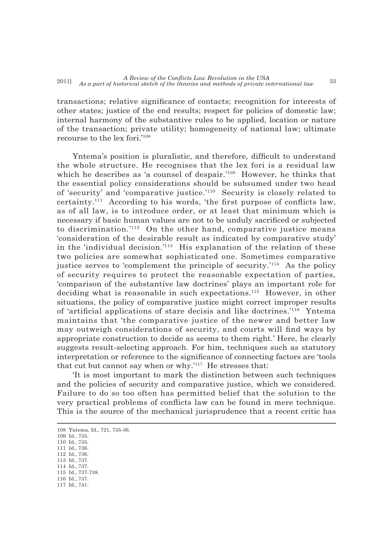transactions; relative significance of contacts; recognition for interests of other states; justice of the end results; respect for policies of domestic law; internal harmony of the substantive rules to be applied, location or nature of the transaction; private utility; homogeneity of national law; ultimate recourse to the lex fori.'108

Yntema's position is pluralistic, and therefore, difficult to understand the whole structure. He recognises that the lex fori is a residual law which he describes as 'a counsel of despair.'<sup>109</sup> However, he thinks that the essential policy considerations should be subsumed under two head of 'security' and 'comparative justice.'110 Security is closely related to certainty.<sup>111</sup> According to his words, 'the first purpose of conflicts law, as of all law, is to introduce order, or at least that minimum which is necessary if basic human values are not to be unduly sacrificed or subjected to discrimination.<sup>'112</sup> On the other hand, comparative justice means 'consideration of the desirable result as indicated by comparative study' in the 'individual decision.'<sup>113</sup> His explanation of the relation of these two policies are somewhat sophisticated one. Sometimes comparative justice serves to 'complement the principle of security.'114 As the policy of security requires to protect the reasonable expectation of parties, 'comparison of the substantive law doctrines' plays an important role for deciding what is reasonable in such expectations.<sup>115</sup> However, in other situations, the policy of comparative justice might correct improper results of 'artificial applications of stare decisis and like doctrines.'<sup>116</sup> Yntema maintains that 'the comparative justice of the newer and better law may outweigh considerations of security, and courts will find ways by appropriate construction to decide as seems to them right.' Here, he clearly suggests result-selecting approach. For him, techniques such as statutory interpretation or reference to the significance of connecting factors are 'tools that cut but cannot say when or why.'117 He stresses that:

'It is most important to mark the distinction between such techniques and the policies of security and comparative justice, which we considered. Failure to do so too often has permitted belief that the solution to the very practical problems of conflicts law can be found in mere technique. This is the source of the mechanical jurisprudence that a recent critic has

109 Id., 735. 110 Id., 735. 111 Id., 736.

- 115 Id., 737-738.
- 116 Id., 737.
- 117 Id., 741.

<sup>108</sup> Yntema, Id., 721, 735-36.

<sup>112</sup> Id., 736.

<sup>113</sup> Id., 737. 114 Id., 737.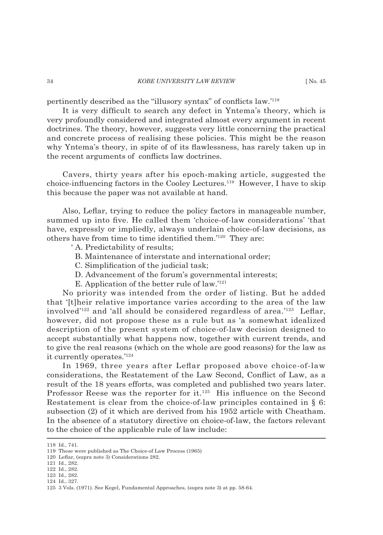pertinently described as the "illusory syntax" of conflicts law.<sup>'118</sup>

It is very difficult to search any defect in Yntema's theory, which is very profoundly considered and integrated almost every argument in recent doctrines. The theory, however, suggests very little concerning the practical and concrete process of realising these policies. This might be the reason why Yntema's theory, in spite of of its flawlessness, has rarely taken up in the recent arguments of conflicts law doctrines.

Cavers, thirty years after his epoch-making article, suggested the choice-influencing factors in the Cooley Lectures.<sup>119</sup> However, I have to skip this because the paper was not available at hand.

Also, Leflar, trying to reduce the policy factors in manageable number, summed up into five. He called them 'choice-of-law considerations' 'that have, expressly or impliedly, always underlain choice-of-law decisions, as others have from time to time identified them.'<sup>120</sup> They are:

- ' A. Predictability of results;
	- B. Maintenance of interstate and international order;
	- C. Simplification of the judicial task;
	- D. Advancement of the forum's governmental interests;
	- E. Application of the better rule of law.'121

No priority was intended from the order of listing. But he added that '[t]heir relative importance varies according to the area of the law involved<sup>'122</sup> and 'all should be considered regardless of area.<sup>'123</sup> Leflar, however, did not propose these as a rule but as 'a somewhat idealized description of the present system of choice-of-law decision designed to accept substantially what happens now, together with current trends, and to give the real reasons (which on the whole are good reasons) for the law as it currently operates.'124

In 1969, three years after Leflar proposed above choice-of-law considerations, the Restatement of the Law Second, Conflict of Law, as a result of the 18 years efforts, was completed and published two years later. Professor Reese was the reporter for  $it.^{125}$  His influence on the Second Restatement is clear from the choice-of-law principles contained in § 6: subsection (2) of it which are derived from his 1952 article with Cheatham. In the absence of a statutory directive on choice-of-law, the factors relevant to the choice of the applicable rule of law include:

<sup>118</sup> Id., 741.

<sup>119</sup> These were published as The Choice-of Law Process (1965)

<sup>120</sup> Leflar, (supra note 3) Considerations 282.

<sup>121</sup> Id., 282.

<sup>122</sup> Id., 282.

<sup>123</sup> Id., 282.

<sup>124</sup> Id., 327.

<sup>125 3</sup> Vols. (1971). See Kegel, Fundamental Approaches, (supra note 3) at pp. 58-64.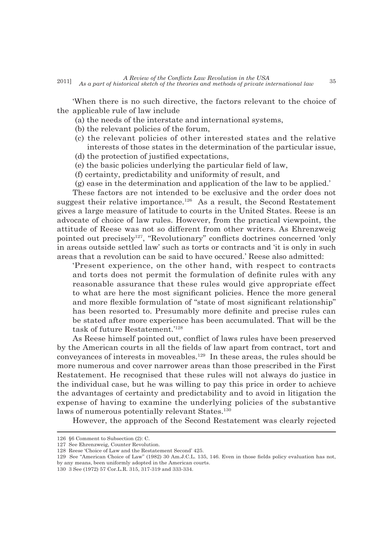'When there is no such directive, the factors relevant to the choice of the applicable rule of law include

- (a) the needs of the interstate and international systems,
- (b) the relevant policies of the forum,
- (c) the relevant policies of other interested states and the relative interests of those states in the determination of the particular issue,
- (d) the protection of justified expectations,
- (e) the basic policies underlying the particular field of law,
- (f) certainty, predictability and uniformity of result, and
- (g) ease in the determination and application of the law to be applied.'

These factors are not intended to be exclusive and the order does not suggest their relative importance.<sup>126</sup> As a result, the Second Restatement gives a large measure of latitude to courts in the United States. Reese is an advocate of choice of law rules. However, from the practical viewpoint, the attitude of Reese was not so different from other writers. As Ehrenzweig pointed out precisely<sup>127</sup>, "Revolutionary" conflicts doctrines concerned 'only in areas outside settled law' such as torts or contracts and 'it is only in such areas that a revolution can be said to have occured.' Reese also admitted:

'Present experience, on the other hand, with respect to contracts and torts does not permit the formulation of definite rules with any reasonable assurance that these rules would give appropriate effect to what are here the most significant policies. Hence the more general and more flexible formulation of "state of most significant relationship" has been resorted to. Presumably more definite and precise rules can be stated after more experience has been accumulated. That will be the task of future Restatement.'128

As Reese himself pointed out, conflict of laws rules have been preserved by the American courts in all the fields of law apart from contract, tort and conveyances of interests in moveables.129 In these areas, the rules should be more numerous and cover narrower areas than those prescribed in the First Restatement. He recognised that these rules will not always do justice in the individual case, but he was willing to pay this price in order to achieve the advantages of certainty and predictability and to avoid in litigation the expense of having to examine the underlying policies of the substantive laws of numerous potentially relevant States.<sup>130</sup>

However, the approach of the Second Restatement was clearly rejected

<sup>126 §6</sup> Comment to Subsection (2): C.

<sup>127</sup> See Ehrenzweig, Counter Revolution.

<sup>128</sup> Reese 'Choice of Law and the Restatement Second' 425.

<sup>129</sup> See "American Choice of Law" (1982) 30 Am.J.C.L. 135, 146. Even in those fields policy evaluation has not, by any means, been uniformly adopted in the American courts.

<sup>130 3</sup> See (1972) 57 Cor.L.R. 315, 317-319 and 333-334.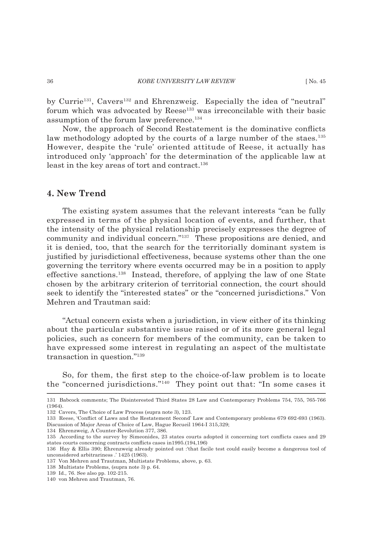by Currie<sup>131</sup>, Cavers<sup>132</sup> and Ehrenzweig. Especially the idea of "neutral" forum which was advocated by Reese<sup>133</sup> was irreconcilable with their basic assumption of the forum law preference.134

Now, the approach of Second Restatement is the dominative conflicts law methodology adopted by the courts of a large number of the staes.<sup>135</sup> However, despite the 'rule' oriented attitude of Reese, it actually has introduced only 'approach' for the determination of the applicable law at least in the key areas of tort and contract.<sup>136</sup>

# **4. New Trend**

The existing system assumes that the relevant interests "can be fully expressed in terms of the physical location of events, and further, that the intensity of the physical relationship precisely expresses the degree of community and individual concern."137 These propositions are denied, and it is denied, too, that the search for the territorially dominant system is justified by jurisdictional effectiveness, because systems other than the one governing the territory where events occurred may be in a position to apply effective sanctions.138 Instead, therefore, of applying the law of one State chosen by the arbitrary criterion of territorial connection, the court should seek to identify the "interested states" or the "concerned jurisdictions." Von Mehren and Trautman said:

"Actual concern exists when a jurisdiction, in view either of its thinking about the particular substantive issue raised or of its more general legal policies, such as concern for members of the community, can be taken to have expressed some interest in regulating an aspect of the multistate transaction in question."139

So, for them, the first step to the choice-of-law problem is to locate the "concerned jurisdictions."140 They point out that: "In some cases it

<sup>131</sup> Babcock comments; The Disinterested Third States 28 Law and Contemporary Problems 754, 755, 765-766 (1964).

<sup>132</sup> Cavers, The Choice of Law Process (supra note 3), 123.

<sup>133</sup> Reese, 'Conflict of Laws and the Restatement Second' Law and Contemporary problems 679 692-693 (1963). Discussion of Major Areas of Choice of Law, Hague Recueil 1964-I 315,329;

<sup>134</sup> Ehrenzweig, A Counter-Revolution 377, 386.

<sup>135</sup> According to the survey by Simeonides, 23 states courts adopted it concerning tort conflicts cases and 29 states courts concerning contracts conflicts cases in 1995.(194, 196)

<sup>136</sup> Hay & Ellis 390; Ehrenzweig already pointed out :'that facile test could easily become a dangerous tool of unconsidered arbitrariness .' 1425 (1963).

<sup>137</sup> Von Mehren and Trautman, Multistate Problems, above, p. 63.

<sup>138</sup> Multistate Problems, (supra note 3) p. 64.

<sup>139</sup> Id., 76. See also pp. 102-215.

<sup>140</sup> von Mehren and Trautman, 76.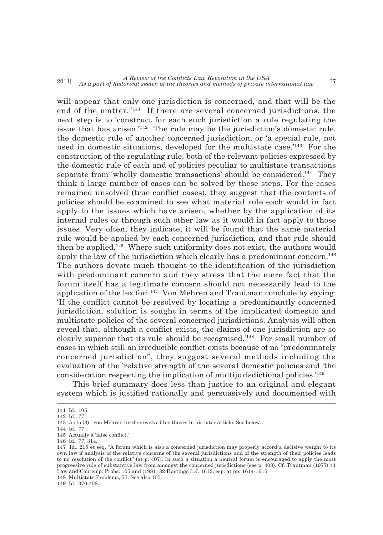will appear that only one jurisdiction is concerned, and that will be the end of the matter."141 If there are several concerned jurisdictions, the next step is to 'construct for each such jurisdiction a rule regulating the issue that has arisen.<sup>'142</sup> The rule may be the jurisdiction's domestic rule, the domestic rule of another concerned jurisdiction, or 'a special rule, not used in domestic situations, developed for the multistate case.<sup>'143</sup> For the construction of the regulating rule, both of the relevant policies expressed by the domestic rule of each and of policies peculiar to multistate transactions separate from 'wholly domestic transactions' should be considered.<sup>144</sup> They think a large number of cases can be solved by these steps. For the cases remained unsolved (true conflict cases), they suggest that the contents of policies should be examined to see what material rule each would in fact apply to the issues which have arisen, whether by the application of its internal rules or through such other law as it would in fact apply to those issues. Very often, they indicate, it will be found that the same material rule would be applied by each concerned jurisdiction, and that rule should then be applied.<sup>145</sup> Where such uniformity does not exist, the authors would apply the law of the jurisdiction which clearly has a predominant concern.<sup>146</sup> The authors devote much thought to the identification of the jurisdiction with predominant concern and they stress that the mere fact that the forum itself has a legitimate concern should not necessarily lead to the application of the lex fori.<sup>147</sup> Von Mehren and Trautman conclude by saying: If the conflict cannot be resolved by locating a predominantly concerned jurisdiction, solution is sought in terms of the implicated domestic and multistate policies of the several concerned jurisdictions. Analysis will often reveal that, although a conflict exists, the claims of one jurisdiction are so clearly superior that its rule should be recognised.'148 For small number of cases in which still an irreducible conflict exists because of no "predominately concerned jurisdiction", they suggest several methods including the evaluation of the 'relative strength of the several domestic policies and 'the consideration respecting the implication of multijurisdictional policies.'149

This brief summary does less than justice to an original and elegant system which is justified rationally and persuasively and documented with

<sup>141</sup> Id., 105. 142 Id., 77.

<sup>143</sup> As to (3) , von Mehren further evolved his theory in his later article. See below.

<sup>144</sup> Id., 77.

<sup>145</sup> Actually a 'false conflict.'

<sup>146</sup> Id., 77, 314.

<sup>147</sup> Id., 215 et seq. "A forum which is also a concerned jurisdiction may properly accord a decisive weight to its own law if analysis of the relative concerns of the several jurisdictions and of the strength of their policies leads to no resolution of the conflict" (at p. 407). In such a situation a neutral forum is encouraged to apply the most progressive rule of substantive law from amongst the concerned jurisdictions (see p. 408). Cf. Trautman (1977) 41 Law and Contemp. Probs. 105 and (1981) 32 Hastings L.J. 1612, esp. at pp. 1614-1615.

<sup>148</sup> Multistate Problems, 77. See also 105.

<sup>149</sup> Id., 376-408.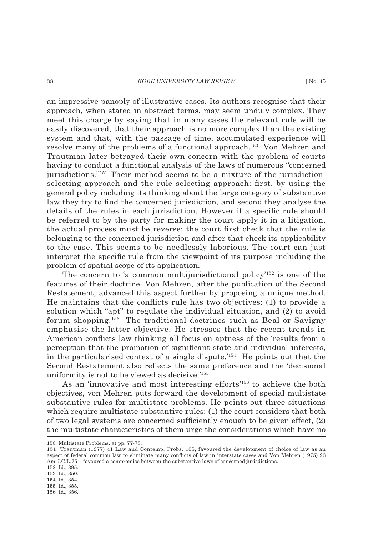### 38 *KOBE UNIVERSITY LAW REVIEW* [ No. 45

an impressive panoply of illustrative cases. Its authors recognise that their approach, when stated in abstract terms, may seem unduly complex. They meet this charge by saying that in many cases the relevant rule will be easily discovered, that their approach is no more complex than the existing system and that, with the passage of time, accumulated experience will resolve many of the problems of a functional approach.<sup>150</sup> Von Mehren and Trautman later betrayed their own concern with the problem of courts having to conduct a functional analysis of the laws of numerous "concerned jurisdictions."151 Their method seems to be a mixture of the jurisdictionselecting approach and the rule selecting approach: first, by using the general policy including its thinking about the large category of substantive law they try to find the concerned jurisdiction, and second they analyse the details of the rules in each jurisdiction. However if a specific rule should be referred to by the party for making the court apply it in a litigation, the actual process must be reverse: the court first check that the rule is belonging to the concerned jurisdiction and after that check its applicability to the case. This seems to be needlessly laborious. The court can just interpret the specific rule from the viewpoint of its purpose including the problem of spatial scope of its application.

The concern to 'a common multijurisdictional policy'152 is one of the features of their doctrine. Von Mehren, after the publication of the Second Restatement, advanced this aspect further by proposing a unique method. He maintains that the conflicts rule has two objectives:  $(1)$  to provide a solution which "apt" to regulate the individual situation, and (2) to avoid forum shopping.153 The traditional doctrines such as Beal or Savigny emphasise the latter objective. He stresses that the recent trends in American conflicts law thinking all focus on aptness of the 'results from a perception that the promotion of significant state and individual interests, in the particularised context of a single dispute.'154 He points out that the Second Restatement also reflects the same preference and the 'decisional uniformity is not to be viewed as decisive.'155

As an 'innovative and most interesting efforts'156 to achieve the both objectives, von Mehren puts forward the development of special multistate substantive rules for multistate problems. He points out three situations which require multistate substantive rules: (1) the court considers that both of two legal systems are concerned sufficiently enough to be given effect,  $(2)$ the multistate characteristics of them urge the considerations which have no

<sup>150</sup> Multistate Problems, at pp. 77-78.

<sup>151</sup> Trautman (1977) 41 Law and Contemp. Probs. 105, favoured the development of choice of law as an aspect of federal common law to eliminate many conflicts of law in interstate cases and Von Mehren (1975) 23 Am.J.C.L.751, favoured a compromise between the substantive laws of concerned jurisdictions.

<sup>152</sup> Id., 395. 153 Id., 350.

<sup>154</sup> Id., 354.

<sup>155</sup> Id., 355.

<sup>156</sup> Id., 356.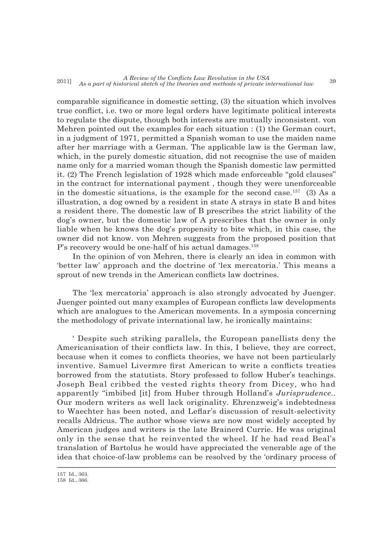comparable significance in domestic setting,  $(3)$  the situation which involves true conflict, i.e. two or more legal orders have legitimate political interests to regulate the dispute, though both interests are mutually inconsistent. von Mehren pointed out the examples for each situation : (1) the German court, in a judgment of 1971, permitted a Spanish woman to use the maiden name after her marriage with a German. The applicable law is the German law, which, in the purely domestic situation, did not recognise the use of maiden name only for a married woman though the Spanish domestic law permitted it. (2) The French legislation of 1928 which made enforceable "gold clauses" in the contract for international payment , though they were unenforceable in the domestic situations, is the example for the second case.<sup>157</sup> (3) As a illustration, a dog owned by a resident in state A strays in state B and bites a resident there. The domestic law of B prescribes the strict liability of the dog's owner, but the domestic law of A prescribes that the owner is only liable when he knows the dog's propensity to bite which, in this case, the owner did not know. von Mehren suggests from the proposed position that P's recovery would be one-half of his actual damages.<sup>158</sup>

In the opinion of von Mehren, there is clearly an idea in common with 'better law' approach and the doctrine of 'lex mercatoria.' This means a sprout of new trends in the American conflicts law doctrines.

The 'lex mercatoria' approach is also strongly advocated by Juenger. Juenger pointed out many examples of European conflicts law developments which are analogues to the American movements. In a symposia concerning the methodology of private international law, he ironically maintains:

' Despite such striking parallels, the European panellists deny the Americanisation of their conflicts law. In this, I believe, they are correct, because when it comes to conflicts theories, we have not been particularly inventive. Samuel Livermre first American to write a conflicts treaties borrowed from the statutists. Story professed to follow Huber's teachings. Joseph Beal cribbed the vested rights theory from Dicey, who had apparently "imbibed [it] from Huber through Holland's *Jurisprudence..* Our modern writers as well lack originality. Ehrenzweig's indebtedness to Waechter has been noted, and Leflar's discussion of result-selectivity recalls Aldricus. The author whose views are now most widely accepted by American judges and writers is the late Brainerd Currie. He was original only in the sense that he reinvented the wheel. If he had read Beal's translation of Bartolus he would have appreciated the venerable age of the idea that choice-of-law problems can be resolved by the 'ordinary process of

<sup>157</sup> Id., 363.

<sup>158</sup> Id., 366.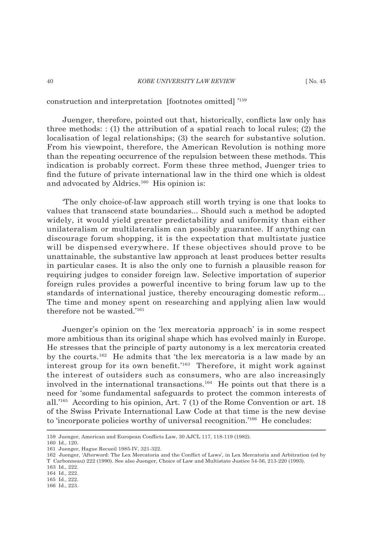construction and interpretation [footnotes omitted] '159

Juenger, therefore, pointed out that, historically, conflicts law only has three methods:  $: (1)$  the attribution of a spatial reach to local rules;  $(2)$  the localisation of legal relationships; (3) the search for substantive solution. From his viewpoint, therefore, the American Revolution is nothing more than the repeating occurrence of the repulsion between these methods. This indication is probably correct. Form these three method, Juenger tries to find the future of private international law in the third one which is oldest and advocated by Aldrics.<sup>160</sup> His opinion is:

'The only choice-of-law approach still worth trying is one that looks to values that transcend state boundaries... Should such a method be adopted widely, it would yield greater predictability and uniformity than either unilateralism or multilateralism can possibly guarantee. If anything can discourage forum shopping, it is the expectation that multistate justice will be dispensed everywhere. If these objectives should prove to be unattainable, the substantive law approach at least produces better results in particular cases. It is also the only one to furnish a plausible reason for requiring judges to consider foreign law. Selective importation of superior foreign rules provides a powerful incentive to bring forum law up to the standards of international justice, thereby encouraging domestic reform... The time and money spent on researching and applying alien law would therefore not be wasted.'161

Juenger's opinion on the 'lex mercatoria approach' is in some respect more ambitious than its original shape which has evolved mainly in Europe. He stresses that the principle of party autonomy is a lex mercatoria created by the courts.<sup>162</sup> He admits that 'the lex mercatoria is a law made by an interest group for its own benefit.'<sup>163</sup> Therefore, it might work against the interest of outsiders such as consumers, who are also increasingly involved in the international transactions.<sup>164</sup> He points out that there is a need for 'some fundamental safeguards to protect the common interests of all.'165 According to his opinion, Art. 7 (1) of the Rome Convention or art. 18 of the Swiss Private International Law Code at that time is the new devise to 'incorporate policies worthy of universal recognition.'166 He concludes:

<sup>159</sup> Juenger, American and European Conflicts Law, 30 AJCL 117, 118-119 (1982).

<sup>160</sup> Id., 120.

<sup>161</sup> Juenger, Hague Recueil 1985-IV, 321-322.

<sup>162</sup> Juenger, 'Afterword: The Lex Mercatoria and the Conflict of Laws', in Lex Mercatoria and Arbitration (ed by T Carbonneau) 222 (1990). See also Juenger, Choice of Law and Multistate Justice 54-56, 213-220 (1993).

<sup>163</sup> Id., 222.

<sup>164</sup> Id., 222.

<sup>165</sup> Id., 222.

<sup>166</sup> Id., 223.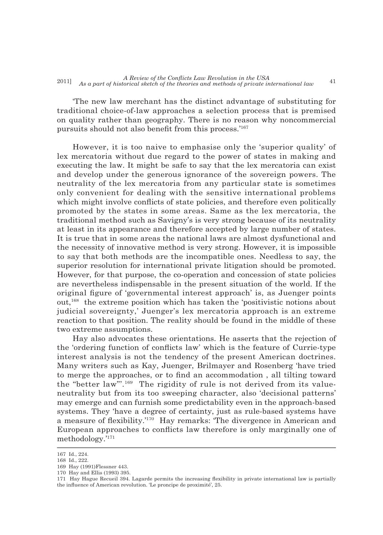'The new law merchant has the distinct advantage of substituting for traditional choice-of-law approaches a selection process that is premised on quality rather than geography. There is no reason why noncommercial pursuits should not also benefit from this process.'<sup>167</sup>

However, it is too naive to emphasise only the 'superior quality' of lex mercatoria without due regard to the power of states in making and executing the law. It might be safe to say that the lex mercatoria can exist and develop under the generous ignorance of the sovereign powers. The neutrality of the lex mercatoria from any particular state is sometimes only convenient for dealing with the sensitive international problems which might involve conflicts of state policies, and therefore even politically promoted by the states in some areas. Same as the lex mercatoria, the traditional method such as Savigny's is very strong because of its neutrality at least in its appearance and therefore accepted by large number of states. It is true that in some areas the national laws are almost dysfunctional and the necessity of innovative method is very strong. However, it is impossible to say that both methods are the incompatible ones. Needless to say, the superior resolution for international private litigation should be promoted. However, for that purpose, the co-operation and concession of state policies are nevertheless indispensable in the present situation of the world. If the original figure of 'governmental interest approach' is, as Juenger points out,168 the extreme position which has taken the 'positivistic notions about judicial sovereignty,' Juenger's lex mercatoria approach is an extreme reaction to that position. The reality should be found in the middle of these two extreme assumptions.

Hay also advocates these orientations. He asserts that the rejection of the 'ordering function of conflicts law' which is the feature of Currie-type interest analysis is not the tendency of the present American doctrines. Many writers such as Kay, Juenger, Brilmayer and Rosenberg 'have tried to merge the approaches, or to find an accommodation, all tilting toward the "better law"'.169 The rigidity of rule is not derived from its valueneutrality but from its too sweeping character, also 'decisional patterns' may emerge and can furnish some predictability even in the approach-based systems. They 'have a degree of certainty, just as rule-based systems have a measure of flexibility.'<sup>170</sup> Hay remarks: 'The divergence in American and European approaches to conflicts law therefore is only marginally one of methodology.'171

<sup>167</sup> Id., 224.

<sup>168</sup> Id., 222.

<sup>169</sup> Hay (1991)Flessner 443. 170 Hay and Ellis (1993) 395.

<sup>171</sup> Hay Hague Recueil 394. Lagarde permits the increasing flexibility in private international law is partially the influence of American revolution. 'Le proncipe de proximité', 25.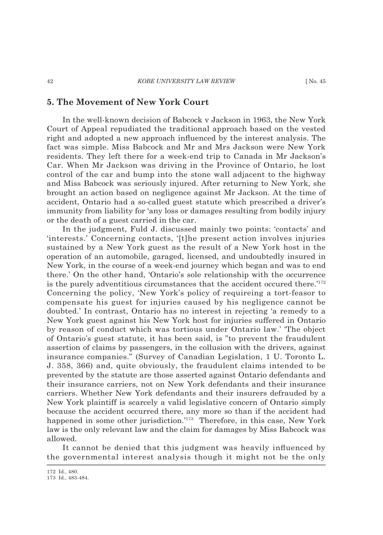# **5. The Movement of New York Court**

In the well-known decision of Babcock v Jackson in 1963, the New York Court of Appeal repudiated the traditional approach based on the vested right and adopted a new approach influenced by the interest analysis. The fact was simple. Miss Babcock and Mr and Mrs Jackson were New York residents. They left there for a week-end trip to Canada in Mr Jackson's Car. When Mr Jackson was driving in the Province of Ontario, he lost control of the car and bump into the stone wall adjacent to the highway and Miss Babcock was seriously injured. After returning to New York, she brought an action based on negligence against Mr Jackson. At the time of accident, Ontario had a so-called guest statute which prescribed a driver's immunity from liability for 'any loss or damages resulting from bodily injury or the death of a guest carried in the car.

In the judgment, Fuld J. discussed mainly two points: 'contacts' and 'interests.' Concerning contacts, '[t]he present action involves injuries sustained by a New York guest as the result of a New York host in the operation of an automobile, garaged, licensed, and undoubtedly insured in New York, in the course of a week-end journey which began and was to end there.' On the other hand, 'Ontario's sole relationship with the occurrence is the purely adventitious circumstances that the accident occured there.'172 Concerning the policy, 'New York's policy of requireing a tort-feasor to compensate his guest for injuries caused by his negligence cannot be doubted.' In contrast, Ontario has no interest in rejecting 'a remedy to a New York guest against his New York host for injuries suffered in Ontario by reason of conduct which was tortious under Ontario law.' 'The object of Ontario's guest statute, it has been said, is "to prevent the fraudulent assertion of claims by passengers, in the collusion with the drivers, against insurance companies." (Survey of Canadian Legislation, 1 U. Toronto L. J. 358, 366) and, quite obviously, the fraudulent claims intended to be prevented by the statute are those asserted against Ontario defendants and their insurance carriers, not on New York defendants and their insurance carriers. Whether New York defendants and their insurers defrauded by a New York plaintiff is scarcely a valid legislative concern of Ontario simply because the accident occurred there, any more so than if the accident had happened in some other jurisdiction.'<sup>173</sup> Therefore, in this case, New York law is the only relevant law and the claim for damages by Miss Babcock was allowed.

It cannot be denied that this judgment was heavily influenced by the governmental interest analysis though it might not be the only

<sup>172</sup> Id., 480.

<sup>173</sup> Id., 483-484.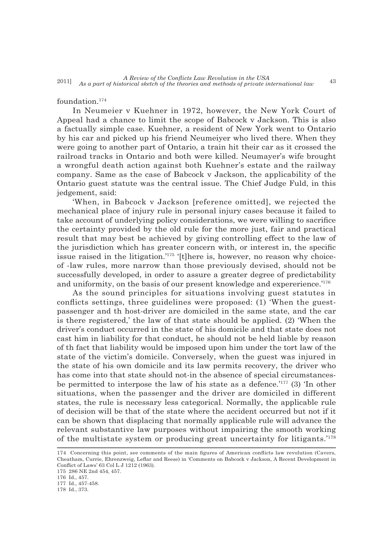### foundation.174

In Neumeier v Kuehner in 1972, however, the New York Court of Appeal had a chance to limit the scope of Babcock v Jackson. This is also a factually simple case. Kuehner, a resident of New York went to Ontario by his car and picked up his friend Neumeiyer who lived there. When they were going to another part of Ontario, a train hit their car as it crossed the railroad tracks in Ontario and both were killed. Neumayer's wife brought a wrongful death action against both Kuehner's estate and the railway company. Same as the case of Babcock v Jackson, the applicability of the Ontario guest statute was the central issue. The Chief Judge Fuld, in this jedgement, said:

'When, in Babcock v Jackson [reference omitted], we rejected the mechanical place of injury rule in personal injury cases because it failed to take account of underlying policy considerations, we were willing to sacrifice the certainty provided by the old rule for the more just, fair and practical result that may best be achieved by giving controlling effect to the law of the jurisdiction which has greater concern with, or interest in, the specific issue raised in the litigation.'175 '[t]here is, however, no reason why choiceof -law rules, more narrow than those previously devised, should not be successfully developed, in order to assure a greater degree of predictability and uniformity, on the basis of our present knowledge and expererience.'176

As the sound principles for situations involving guest statutes in conflicts settings, three guidelines were proposed: (1) 'When the guestpassenger and th host-driver are domiciled in the same state, and the car is there registered,' the law of that state should be applied. (2) 'When the driver's conduct occurred in the state of his domicile and that state does not cast him in liability for that conduct, he should not be held liable by reason of th fact that liability would be imposed upon him under the tort law of the state of the victim's domicile. Conversely, when the guest was injured in the state of his own domicile and its law permits recovery, the driver who has come into that state should not-in the absence of special circumstancesbe permitted to interpose the law of his state as a defence.<sup>'177</sup> (3) 'In other situations, when the passenger and the driver are domiciled in different states, the rule is necessary less categorical. Normally, the applicable rule of decision will be that of the state where the accident occurred but not if it can be shown that displacing that normally applicable rule will advance the relevant substantive law purposes without impairing the smooth working of the multistate system or producing great uncertainty for litigants.'178

<sup>174</sup> Concerning this point, see comments of the main figures of American conflicts law revolution (Cavers, Cheatham, Currie, Ehrenzweig, Leflar and Reese) in 'Comments on Babcock v Jackson, A Recent Development in Conflict of Laws' 63 Col L J 1212 (1963).

<sup>175 286</sup> NE 2nd 454, 457.

<sup>176</sup> Id., 457.

<sup>177</sup> Id., 457-458.

<sup>178</sup> Id., 373.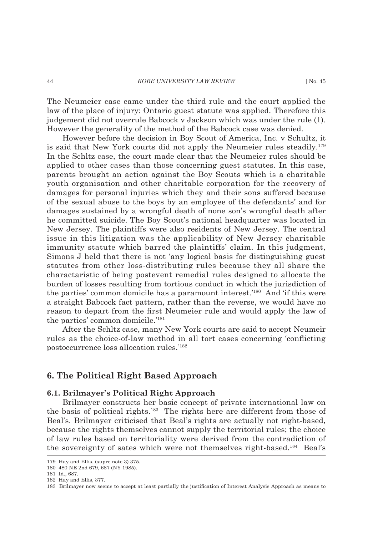The Neumeier case came under the third rule and the court applied the law of the place of injury: Ontario guest statute was applied. Therefore this judgement did not overrule Babcock v Jackson which was under the rule (1). However the generality of the method of the Babcock case was denied.

However before the decision in Boy Scout of America, Inc. v Schultz, it is said that New York courts did not apply the Neumeier rules steadily.179 In the Schltz case, the court made clear that the Neumeier rules should be applied to other cases than those concerning guest statutes. In this case, parents brought an action against the Boy Scouts which is a charitable youth organisation and other charitable corporation for the recovery of damages for personal injuries which they and their sons suffered because of the sexual abuse to the boys by an employee of the defendants' and for damages sustained by a wrongful death of none son's wrongful death after he committed suicide. The Boy Scout's national headquarter was located in New Jersey. The plaintiffs were also residents of New Jersey. The central issue in this litigation was the applicability of New Jersey charitable immunity statute which barred the plaintiffs' claim. In this judgment, Simons J held that there is not 'any logical basis for distinguishing guest statutes from other loss-distributing rules because they all share the charactaristic of being postevent remedial rules designed to allocate the burden of losses resulting from tortious conduct in which the jurisdiction of the parties' common domicile has a paramount interest.'180 And 'if this were a straight Babcock fact pattern, rather than the reverse, we would have no reason to depart from the first Neumeier rule and would apply the law of the parties' common domicile.'181

After the Schltz case, many New York courts are said to accept Neumeir rules as the choice-of-law method in all tort cases concerning 'conflicting postoccurrence loss allocation rules.'182

# **6. The Political Right Based Approach**

### **6.1. Brilmayer's Political Right Approach**

Brilmayer constructs her basic concept of private international law on the basis of political rights.183 The rights here are different from those of Beal's. Brilmayer criticised that Beal's rights are actually not right-based, because the rights themselves cannot supply the territorial rules; the choice of law rules based on territoriality were derived from the contradiction of the sovereignty of sates which were not themselves right-based.184 Beal's

<sup>179</sup> Hay and Ellis, (supre note 3) 375.

<sup>180 480</sup> NE 2nd 679, 687 (NY 1985).

<sup>181</sup> Id., 687.

<sup>182</sup> Hay and Ellis, 377.

<sup>183</sup> Brilmayer now seems to accept at least partially the justification of Interest Analysis Approach as means to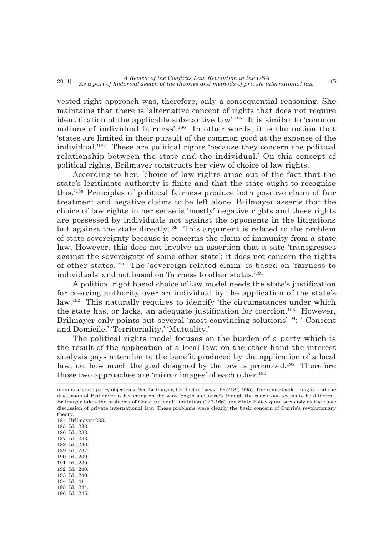vested right approach was, therefore, only a consequential reasoning. She maintains that there is 'alternative concept of rights that does not require identification of the applicable substantive law'.<sup>185</sup> It is similar to 'common notions of individual fairness'.186 In other words, it is the notion that 'states are limited in their pursuit of the common good at the expense of the individual.'187 These are political rights 'because they concern the political relationship between the state and the individual.' On this concept of political rights, Brilmayer constructs her view of choice of law rights.

According to her, 'choice of law rights arise out of the fact that the state's legitimate authority is finite and that the state ought to recognise this.'188 Principles of political fairness produce both positive claim of fair treatment and negative claims to be left alone. Brilmayer asserts that the choice of law rights in her sense is 'mostly' negative rights and these rights are possessed by individuals not against the opponents in the litigations but against the state directly.189 This argument is related to the problem of state sovereignty because it concerns the claim of immunity from a state law. However, this does not involve an assertion that a sate 'transgresses against the sovereignty of some other state'; it does not concern the rights of other states.190 The 'sovereign-related claim' is based on 'fairness to individuals' and not based on 'fairness to other states.'191

A political right based choice of law model needs the state's justification for coercing authority over an individual by the application of the state's law.192 This naturally requires to identify 'the circumstances under which the state has, or lacks, an adequate justification for coercion.<sup>193</sup> However, Brilmayer only points out several 'most convincing solutions'194: ' Consent and Domicile,' 'Territoriality,' 'Mutuality.'

The political rights model focuses on the burden of a party which is the result of the application of a local law; on the other hand the interest analysis pays attention to the benefit produced by the application of a local law, i.e. how much the goal designed by the law is promoted.<sup>195</sup> Therefore those two approaches are 'mirror images' of each other.<sup>196</sup>

185 Id., 233. 186 Id., 233.

- 187 Id., 233.
- 188 Id., 236.
- 189 Id., 237.
- 190 Id., 239.
- 191 Id., 239.
- 192 Id., 240.
- 193 Id., 240. 194 Id., 41.
- 195 Id., 244.
- 196 Id., 245.

maximise state policy objectives. See Brilmayer, Conflict of Laws 169-218 (1995). The remarkable thing is that the discussion of Brilmayer is becoming on the wavelength as Currie's though the conclusion seems to be different. Brilmayer takes the problems of Constitutional Limitation (127-166) and State Policy quite seriously as the basic discussion of private international law. These problems were clearly the basic concern of Currie's revolutionary theory.

<sup>184</sup> Brilmayer 233.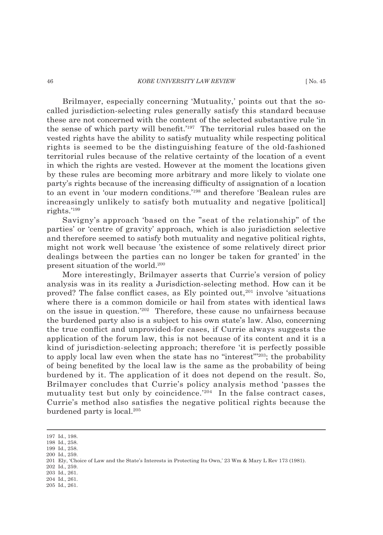### 46 *KOBE UNIVERSITY LAW REVIEW* [ No. 45

Brilmayer, especially concerning 'Mutuality,' points out that the socalled jurisdiction-selecting rules generally satisfy this standard because these are not concerned with the content of the selected substantive rule 'in the sense of which party will benefit.' $197$  The territorial rules based on the vested rights have the ability to satisfy mutuality while respecting political rights is seemed to be the distinguishing feature of the old-fashioned territorial rules because of the relative certainty of the location of a event in which the rights are vested. However at the moment the locations given by these rules are becoming more arbitrary and more likely to violate one party's rights because of the increasing difficulty of assignation of a location to an event in 'our modern conditions.'198 and therefore 'Bealean rules are increasingly unlikely to satisfy both mutuality and negative [political] rights.'199

Savigny's approach 'based on the "seat of the relationship" of the parties' or 'centre of gravity' approach, which is also jurisdiction selective and therefore seemed to satisfy both mutuality and negative political rights, might not work well because 'the existence of some relatively direct prior dealings between the parties can no longer be taken for granted' in the present situation of the world.200

More interestingly, Brilmayer asserts that Currie's version of policy analysis was in its reality a Jurisdiction-selecting method. How can it be proved? The false conflict cases, as Ely pointed out, $201$  involve 'situations where there is a common domicile or hail from states with identical laws on the issue in question.'202 Therefore, these cause no unfairness because the burdened party also is a subject to his own state's law. Also, concerning the true conflict and unprovided-for cases, if Currie always suggests the application of the forum law, this is not because of its content and it is a kind of jurisdiction-selecting approach; therefore 'it is perfectly possible to apply local law even when the state has no "interest"'203; the probability of being benefi ted by the local law is the same as the probability of being burdened by it. The application of it does not depend on the result. So, Brilmayer concludes that Currie's policy analysis method 'passes the mutuality test but only by coincidence.<sup>'204</sup> In the false contract cases, Currie's method also satisfies the negative political rights because the burdened party is local.<sup>205</sup>

- 199 Id., 258.
- 200 Id., 259.

- 202 Id., 259. 203 Id., 261.
- 204 Id., 261.

<sup>197</sup> Id., 198.

<sup>198</sup> Id., 258.

<sup>201</sup> Ely, 'Choice of Law and the State's Interests in Protecting Its Own,' 23 Wm & Mary L Rev 173 (1981).

<sup>205</sup> Id., 261.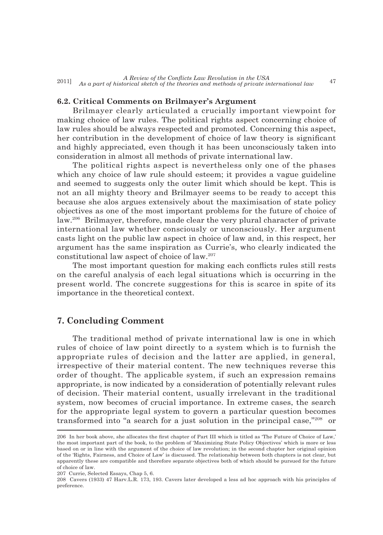### **6.2. Critical Comments on Brilmayer's Argument**

Brilmayer clearly articulated a crucially important viewpoint for making choice of law rules. The political rights aspect concerning choice of law rules should be always respected and promoted. Concerning this aspect, her contribution in the development of choice of law theory is significant and highly appreciated, even though it has been unconsciously taken into consideration in almost all methods of private international law.

The political rights aspect is nevertheless only one of the phases which any choice of law rule should esteem; it provides a vague guideline and seemed to suggests only the outer limit which should be kept. This is not an all mighty theory and Brilmayer seems to be ready to accept this because she alos argues extensively about the maximisation of state policy objectives as one of the most important problems for the future of choice of law.206 Brilmayer, therefore, made clear the very plural character of private international law whether consciously or unconsciously. Her argument casts light on the public law aspect in choice of law and, in this respect, her argument has the same inspiration as Currie's, who clearly indicated the constitutional law aspect of choice of law.207

The most important question for making each conflicts rules still rests on the careful analysis of each legal situations which is occurring in the present world. The concrete suggestions for this is scarce in spite of its importance in the theoretical context.

# **7. Concluding Comment**

The traditional method of private international law is one in which rules of choice of law point directly to a system which is to furnish the appropriate rules of decision and the latter are applied, in general, irrespective of their material content. The new techniques reverse this order of thought. The applicable system, if such an expression remains appropriate, is now indicated by a consideration of potentially relevant rules of decision. Their material content, usually irrelevant in the traditional system, now becomes of crucial importance. In extreme cases, the search for the appropriate legal system to govern a particular question becomes transformed into "a search for a just solution in the principal case,"208 or

207 Currie, Selected Essays, Chap 5, 6.

<sup>206</sup> In her book above, she allocates the first chapter of Part III which is titled as 'The Future of Choice of Law,' the most important part of the book, to the problem of 'Maximizing State Policy Objectives' which is more or less based on or in line with the argument of the choice of law revolution; in the second chapter her original opinion of the 'Rights, Fairness, and Choice of Law' is discussed. The relationship between both chapters is not clear, but apparently these are compatible and therefore separate objectives both of which should be pursued for the future of choice of law.

<sup>208</sup> Cavers (1933) 47 Harv.L.R. 173, 193. Cavers later developed a less ad hoc approach with his principles of preference.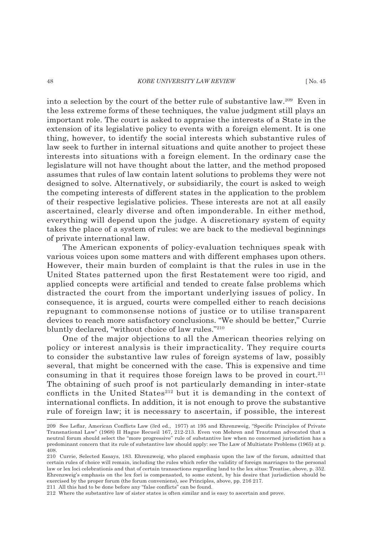### 48 *KOBE UNIVERSITY LAW REVIEW* [ No. 45

into a selection by the court of the better rule of substantive law.209 Even in the less extreme forms of these techniques, the value judgment still plays an important role. The court is asked to appraise the interests of a State in the extension of its legislative policy to events with a foreign element. It is one thing, however, to identify the social interests which substantive rules of law seek to further in internal situations and quite another to project these interests into situations with a foreign element. In the ordinary case the legislature will not have thought about the latter, and the method proposed assumes that rules of law contain latent solutions to problems they were not designed to solve. Alternatively, or subsidiarily, the court is asked to weigh the competing interests of different states in the application to the problem of their respective legislative policies. These interests are not at all easily ascertained, clearly diverse and often imponderable. In either method, everything will depend upon the judge. A discretionary system of equity takes the place of a system of rules: we are back to the medieval beginnings of private international law.

The American exponents of policy-evaluation techniques speak with various voices upon some matters and with different emphases upon others. However, their main burden of complaint is that the rules in use in the United States patterned upon the first Restatement were too rigid, and applied concepts were artificial and tended to create false problems which distracted the court from the important underlying issues of policy. In consequence, it is argued, courts were compelled either to reach decisions repugnant to commonsense notions of justice or to utilise transparent devices to reach more satisfactory conclusions. "We should be better," Currie bluntly declared, "without choice of law rules."210

One of the major objections to all the American theories relying on policy or interest analysis is their impracticality. They require courts to consider the substantive law rules of foreign systems of law, possibly several, that might be concerned with the case. This is expensive and time consuming in that it requires those foreign laws to be proved in court.<sup>211</sup> The obtaining of such proof is not particularly demanding in inter-state conflicts in the United States<sup>212</sup> but it is demanding in the context of international conflicts. In addition, it is not enough to prove the substantive rule of foreign law; it is necessary to ascertain, if possible, the interest

211 All this had to be done before any "false conflicts" can be found.

212 Where the substantive law of sister states is often similar and is easy to ascertain and prove.

<sup>209</sup> See Leflar, American Conflicts Law (3rd ed., 1977) at 195 and Ehrenzweig, "Specific Principles of Private Transnational Law" (1968) II Hague Recueil 167, 212-213. Even von Mehren and Trautman advocated that a neutral forum should select the "more progressive" rule of substantive law when no concerned jurisdiction has a predominant concern that its rule of substantive law should apply: see The Law of Multistate Problems (1965) at p. 408.

<sup>210</sup> Currie, Selected Essays, 183. Ehrenzweig, who placed emphasis upon the law of the forum, admitted that certain rules of choice will remain, including the rules which refer the validity of foreign marriages to the personal law or lex loci celebrationis and that of certain transactions regarding land to the lex situs: Treatise, above, p. 352. Ehrenzweig's emphasis on the lex fori is compensated, to some extent, by his desire that jurisdiction should be exercised by the proper forum (the forum conveniens), see Principles, above, pp. 216 217.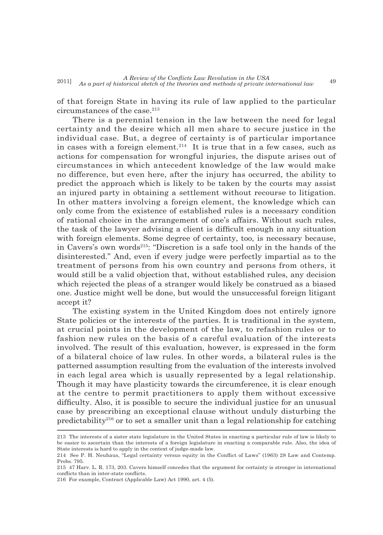of that foreign State in having its rule of law applied to the particular circumstances of the case.<sup>213</sup>

There is a perennial tension in the law between the need for legal certainty and the desire which all men share to secure justice in the individual case. But, a degree of certainty is of particular importance in cases with a foreign element.<sup>214</sup> It is true that in a few cases, such as actions for compensation for wrongful injuries, the dispute arises out of circumstances in which antecedent knowledge of the law would make no difference, but even here, after the injury has occurred, the ability to predict the approach which is likely to be taken by the courts may assist an injured party in obtaining a settlement without recourse to litigation. In other matters involving a foreign element, the knowledge which can only come from the existence of established rules is a necessary condition of rational choice in the arrangement of one's affairs. Without such rules, the task of the lawyer advising a client is difficult enough in any situation with foreign elements. Some degree of certainty, too, is necessary because, in Cavers's own words<sup>215</sup>: "Discretion is a safe tool only in the hands of the disinterested." And, even if every judge were perfectly impartial as to the treatment of persons from his own country and persons from others, it would still be a valid objection that, without established rules, any decision which rejected the pleas of a stranger would likely be construed as a biased one. Justice might well be done, but would the unsuccessful foreign litigant accept it?

The existing system in the United Kingdom does not entirely ignore State policies or the interests of the parties. It is traditional in the system, at crucial points in the development of the law, to refashion rules or to fashion new rules on the basis of a careful evaluation of the interests involved. The result of this evaluation, however, is expressed in the form of a bilateral choice of law rules. In other words, a bilateral rules is the patterned assumption resulting from the evaluation of the interests involved in each legal area which is usually represented by a legal relationship. Though it may have plasticity towards the circumference, it is clear enough at the centre to permit practitioners to apply them without excessive difficulty. Also, it is possible to secure the individual justice for an unusual case by prescribing an exceptional clause without unduly disturbing the predictability<sup>216</sup> or to set a smaller unit than a legal relationship for catching

<sup>213</sup> The interests of a sister state legislature in the United States in enacting a particular rule of law is likely to be easier to ascertain than the interests of a foreign legislature in enacting a comparable rule. Also, the idea of State interests is hard to apply in the context of judge-made law.

<sup>214</sup> See P. H. Neuhaus, "Legal certainty versus equity in the Conflict of Laws" (1963) 28 Law and Contemp. Probs. 795.

<sup>215 47</sup> Harv. L. R. 173, 203. Cavers himself concedes that the argument for certainty is stronger in international conflicts than in inter-state conflicts.

<sup>216</sup> For example, Contract (Applicable Law) Act 1990, art. 4 (5).